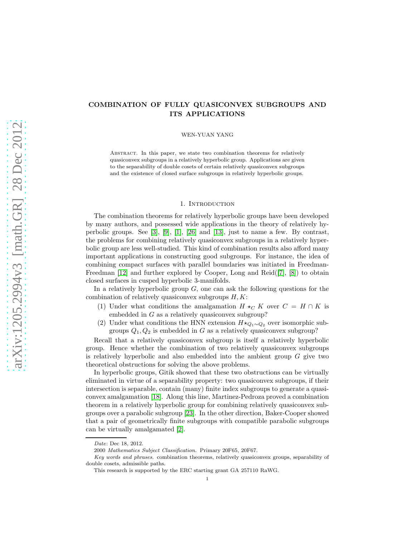# COMBINATION OF FULLY QUASICONVEX SUBGROUPS AND ITS APPLICATIONS

WEN-YUAN YANG

Abstract. In this paper, we state two combination theorems for relatively quasiconvex subgroups in a relatively hyperbolic group. Applications are given to the separability of double cosets of certain relatively quasiconvex subgroups and the existence of closed surface subgroups in relatively hyperbolic groups.

### 1. INTRODUCTION

The combination theorems for relatively hyperbolic groups have been developed by many authors, and possessed wide applications in the theory of relatively hyperbolic groups. See [\[3\]](#page-23-0), [\[9\]](#page-23-1), [\[1\]](#page-23-2), [\[26\]](#page-24-0) and [\[13\]](#page-23-3), just to name a few. By contrast, the problems for combining relatively quasiconvex subgroups in a relatively hyperbolic group are less well-studied. This kind of combination results also afford many important applications in constructing good subgroups. For instance, the idea of combining compact surfaces with parallel boundaries was initiated in Freedman-Freedman [\[12\]](#page-23-4) and further explored by Cooper, Long and Reid([\[7\]](#page-23-5), [\[8\]](#page-23-6)) to obtain closed surfaces in cusped hyperbolic 3-manifolds.

In a relatively hyperbolic group  $G$ , one can ask the following questions for the combination of relatively quasiconvex subgroups  $H, K$ :

- (1) Under what conditions the amalgamation  $H \star_C K$  over  $C = H \cap K$  is embedded in G as a relatively quasiconvex subgroup?
- (2) Under what conditions the HNN extension  $H\star_{Q_1\sim Q_2}$  over isomorphic subgroups  $Q_1, Q_2$  is embedded in G as a relatively quasiconvex subgroup?

Recall that a relatively quasiconvex subgroup is itself a relatively hyperbolic group. Hence whether the combination of two relatively quasiconvex subgroups is relatively hyperbolic and also embedded into the ambient group  $G$  give two theoretical obstructions for solving the above problems.

In hyperbolic groups, Gitik showed that these two obstructions can be virtually eliminated in virtue of a separability property: two quasiconvex subgroups, if their intersection is separable, contain (many) finite index subgroups to generate a quasiconvex amalgamation [\[18\]](#page-23-7). Along this line, Martinez-Pedroza proved a combination theorem in a relatively hyperbolic group for combining relatively quasiconvex subgroups over a parabolic subgroup [\[23\]](#page-23-8). In the other direction, Baker-Cooper showed that a pair of geometrically finite subgroups with compatible parabolic subgroups can be virtually amalgamated [\[2\]](#page-23-9).

Date: Dec 18, 2012.

<sup>2000</sup> Mathematics Subject Classification. Primary 20F65, 20F67.

Key words and phrases. combination theorems, relatively quasiconvex groups, separability of double cosets, admissible paths.

This research is supported by the ERC starting grant GA 257110 RaWG.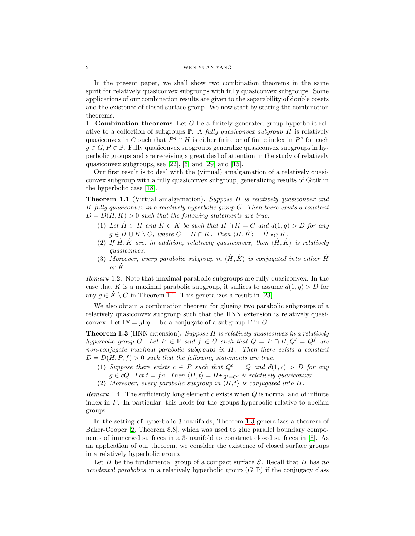In the present paper, we shall show two combination theorems in the same spirit for relatively quasiconvex subgroups with fully quasiconvex subgroups. Some applications of our combination results are given to the separability of double cosets and the existence of closed surface group. We now start by stating the combination theorems.

1. **Combination theorems.** Let  $G$  be a finitely generated group hyperbolic relative to a collection of subgroups P. A *fully quasiconvex subgroup* H is relatively quasiconvex in G such that  $P^g \cap H$  is either finite or of finite index in  $P^g$  for each  $g \in G, P \in \mathbb{P}$ . Fully quasiconvex subgroups generalize quasiconvex subgroups in hyperbolic groups and are receiving a great deal of attention in the study of relatively quasiconvex subgroups, see [\[22\]](#page-23-10), [\[6\]](#page-23-11) and [\[29\]](#page-24-1) and [\[15\]](#page-23-12).

Our first result is to deal with the (virtual) amalgamation of a relatively quasiconvex subgroup with a fully quasiconvex subgroup, generalizing results of Gitik in the hyperbolic case [\[18\]](#page-23-7).

<span id="page-1-0"></span>Theorem 1.1 (Virtual amalgamation). *Suppose* H *is relatively quasiconvex and* K *fully quasiconvex in a relatively hyperbolic group* G*. Then there exists a constant*  $D = D(H, K) > 0$  *such that the following statements are true.* 

- (1) Let  $H \subset H$  and  $K \subset K$  be such that  $H \cap K = C$  and  $d(1, g) > D$  for any  $g \in \dot{H} \cup \dot{K} \setminus C$ , where  $C = H \cap K$ . Then  $\langle \dot{H}, \dot{K} \rangle = \dot{H} \star_C \dot{K}$ .
- (2) If  $\dot{H}, \dot{K}$  are, in addition, relatively quasiconvex, then  $\langle \dot{H}, \dot{K} \rangle$  is relatively *quasiconvex.*
- (3) *Moreover, every parabolic subgroup in*  $\langle \dot{H}, \dot{K} \rangle$  *is conjugated into either*  $\dot{H}$ or  $\dot{K}$ .

*Remark* 1.2*.* Note that maximal parabolic subgroups are fully quasiconvex. In the case that K is a maximal parabolic subgroup, it suffices to assume  $d(1, g) > D$  for any  $q \in K \setminus C$  in Theorem [1.1.](#page-1-0) This generalizes a result in [\[23\]](#page-23-8).

We also obtain a combination theorem for glueing two parabolic subgroups of a relatively quasiconvex subgroup such that the HNN extension is relatively quasiconvex. Let  $\Gamma^g = g \Gamma g^{-1}$  be a conjugate of a subgroup  $\Gamma$  in G.

<span id="page-1-1"></span>Theorem 1.3 (HNN extension). *Suppose* H *is relatively quasiconvex in a relatively hyperbolic group* G. Let  $P \in \mathbb{P}$  and  $f \in G$  such that  $Q = P \cap H, Q' = Q^f$  are *non-conjugate maximal parabolic subgroups in* H*. Then there exists a constant*  $D = D(H, P, f) > 0$  *such that the following statements are true.* 

- (1) *Suppose there exists*  $c \in P$  *such that*  $Q^c = Q$  *and*  $d(1, c) > D$  *for any*  $g \in cQ$ *. Let*  $t = fc$ *. Then*  $\langle H, t \rangle = H \star_{Q^t = Q'}$  *is relatively quasiconvex.*
- (2) Moreover, every parabolic subgroup in  $\langle H, t \rangle$  is conjugated into H.

*Remark* 1.4. The sufficiently long element c exists when Q is normal and of infinite index in  $P$ . In particular, this holds for the groups hyperbolic relative to abelian groups.

In the setting of hyperbolic 3-manifolds, Theorem [1.3](#page-1-1) generalizes a theorem of Baker-Cooper [\[2,](#page-23-9) Theorem 8.8], which was used to glue parallel boundary components of immersed surfaces in a 3-manifold to construct closed surfaces in [\[8\]](#page-23-6). As an application of our theorem, we consider the existence of closed surface groups in a relatively hyperbolic group.

Let H be the fundamental group of a compact surface S. Recall that H has *no accidental parabolics* in a relatively hyperbolic group  $(G, \mathbb{P})$  if the conjugacy class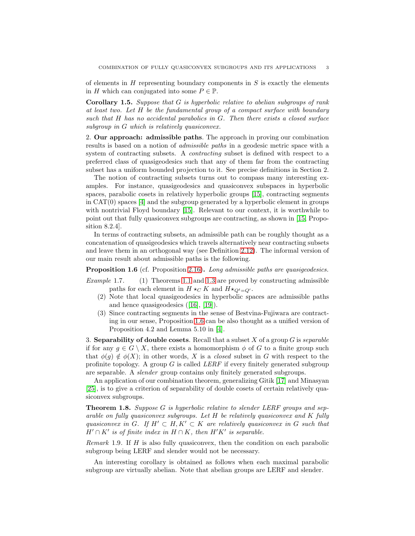of elements in  $H$  representing boundary components in  $S$  is exactly the elements in H which can conjugated into some  $P \in \mathbb{P}$ .

<span id="page-2-2"></span>Corollary 1.5. *Suppose that* G *is hyperbolic relative to abelian subgroups of rank at least two. Let* H *be the fundamental group of a compact surface with boundary such that* H *has no accidental parabolics in* G*. Then there exists a closed surface subgroup in* G *which is relatively quasiconvex.*

2. Our approach: admissible paths. The approach in proving our combination results is based on a notion of *admissible paths* in a geodesic metric space with a system of contracting subsets. A *contracting* subset is defined with respect to a preferred class of quasigeodesics such that any of them far from the contracting subset has a uniform bounded projection to it. See precise definitions in Section 2.

The notion of contracting subsets turns out to compass many interesting examples. For instance, quasigeodesics and quasiconvex subspaces in hyperbolic spaces, parabolic cosets in relatively hyperbolic groups [\[15\]](#page-23-12), contracting segments in CAT(0) spaces [\[4\]](#page-23-13) and the subgroup generated by a hyperbolic element in groups with nontrivial Floyd boundary [\[15\]](#page-23-12). Relevant to our context, it is worthwhile to point out that fully quasiconvex subgroups are contracting, as shown in [\[15,](#page-23-12) Proposition 8.2.4].

In terms of contracting subsets, an admissible path can be roughly thought as a concatenation of quasigeodesics which travels alternatively near contracting subsets and leave them in an orthogonal way (see Definition [2.12\)](#page-6-0). The informal version of our main result about admissible paths is the following.

<span id="page-2-0"></span>Proposition 1.6 (cf. Proposition [2.16\)](#page-7-0). *Long admissible paths are quasigeodesics.*

*Example* 1.7*.* (1) Theorems [1.1](#page-1-0) and [1.3](#page-1-1) are proved by constructing admissible paths for each element in  $H \star_C K$  and  $H \star_{\mathcal{O}^t = \mathcal{O}'}$ .

- (2) Note that local quasigeodesics in hyperbolic spaces are admissible paths and hence quasigeodesics([\[16\]](#page-23-14), [\[19\]](#page-23-15)).
- (3) Since contracting segments in the sense of Bestvina-Fujiwara are contracting in our sense, Proposition [1.6](#page-2-0) can be also thought as a unified version of Proposition 4.2 and Lemma 5.10 in [\[4\]](#page-23-13).

3. Separability of double cosets. Recall that a subset X of a group G is *separable* if for any  $q \in G \setminus X$ , there exists a homomorphism  $\phi$  of G to a finite group such that  $\phi(q) \notin \phi(X)$ ; in other words, X is a *closed* subset in G with respect to the profinite topology. A group G is called *LERF* if every finitely generated subgroup are separable. A *slender* group contains only finitely generated subgroups.

An application of our combination theorem, generalizing Gitik [\[17\]](#page-23-16) and Minasyan [\[25\]](#page-24-2), is to give a criterion of separability of double cosets of certain relatively quasiconvex subgroups.

<span id="page-2-1"></span>Theorem 1.8. *Suppose* G *is hyperbolic relative to slender LERF groups and separable on fully quasiconvex subgroups. Let* H *be relatively quasiconvex and* K *fully quasiconvex in* G. If  $H' \subset H, K' \subset K$  *are relatively quasiconvex in* G *such that*  $H' \cap K'$  is of finite index in  $H \cap K$ , then  $H'K'$  is separable.

*Remark* 1.9*.* If H is also fully quasiconvex, then the condition on each parabolic subgroup being LERF and slender would not be necessary.

An interesting corollary is obtained as follows when each maximal parabolic subgroup are virtually abelian. Note that abelian groups are LERF and slender.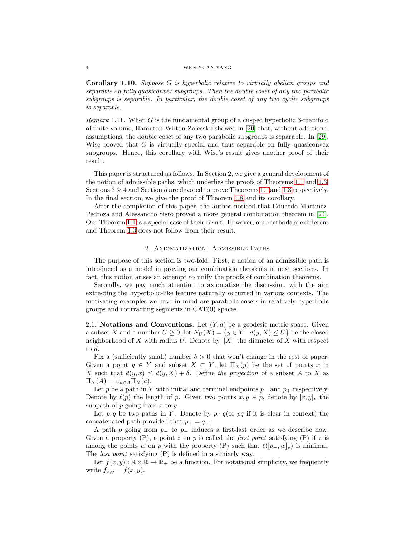#### 4 WEN-YUAN YANG

<span id="page-3-0"></span>Corollary 1.10. *Suppose* G *is hyperbolic relative to virtually abelian groups and separable on fully quasiconvex subgroups. Then the double coset of any two parabolic subgroups is separable. In particular, the double coset of any two cyclic subgroups is separable.*

*Remark* 1.11*.* When G is the fundamental group of a cusped hyperbolic 3-manifold of finite volume, Hamilton-Wilton-Zalesskii showed in [\[20\]](#page-23-17) that, without additional assumptions, the double coset of any two parabolic subgroups is separable. In [\[29\]](#page-24-1), Wise proved that  $G$  is virtually special and thus separable on fully quasiconvex subgroups. Hence, this corollary with Wise's result gives another proof of their result.

This paper is structured as follows. In Section 2, we give a general development of the notion of admissible paths, which underlies the proofs of Theorems [1.1](#page-1-0) and [1.3.](#page-1-1) Sections 3 & 4 and Section 5 are devoted to prove Theorems [1.1](#page-1-0) and [1.3](#page-1-1) respectively. In the final section, we give the proof of Theorem [1.8](#page-2-1) and its corollary.

After the completion of this paper, the author noticed that Eduardo Martinez-Pedroza and Alessandro Sisto proved a more general combination theorem in [\[24\]](#page-23-18). Our Theorem [1.1](#page-1-0) is a special case of their result. However, our methods are different and Theorem [1.3](#page-1-1) does not follow from their result.

### 2. Axiomatization: Admissible Paths

The purpose of this section is two-fold. First, a notion of an admissible path is introduced as a model in proving our combination theorems in next sections. In fact, this notion arises an attempt to unify the proofs of combination theorems.

Secondly, we pay much attention to axiomatize the discussion, with the aim extracting the hyperbolic-like feature naturally occurred in various contexts. The motivating examples we have in mind are parabolic cosets in relatively hyperbolic groups and contracting segments in CAT(0) spaces.

2.1. Notations and Conventions. Let  $(Y, d)$  be a geodesic metric space. Given a subset X and a number  $U \geq 0$ , let  $N_U(X) = \{y \in Y : d(y, X) \leq U\}$  be the closed neighborhood of X with radius U. Denote by  $||X||$  the diameter of X with respect to d.

Fix a (sufficiently small) number  $\delta > 0$  that won't change in the rest of paper. Given a point  $y \in Y$  and subset  $X \subset Y$ , let  $\Pi_X(y)$  be the set of points x in X such that  $d(y, x) \leq d(y, X) + \delta$ . Define the projection of a subset A to X as  $\Pi_X(A) = \cup_{a \in A} \Pi_X(a).$ 

Let p be a path in Y with initial and terminal endpoints  $p_-\$  and  $p_+\$  respectively. Denote by  $\ell(p)$  the length of p. Given two points  $x, y \in p$ , denote by  $[x, y]_p$  the subpath of  $p$  going from  $x$  to  $y$ .

Let p, q be two paths in Y. Denote by  $p \cdot q$  (or pq if it is clear in context) the concatenated path provided that  $p_{+} = q_{-}$ .

A path p going from  $p_+$  to  $p_+$  induces a first-last order as we describe now. Given a property  $(P)$ , a point z on p is called the *first point* satisfying  $(P)$  if z is among the points w on p with the property (P) such that  $\ell([p_-, w]_p)$  is minimal. The *last point* satisfying (P) is defined in a simiarly way.

Let  $f(x, y): \mathbb{R} \times \mathbb{R} \to \mathbb{R}_+$  be a function. For notational simplicity, we frequently write  $f_{x,y} = f(x, y)$ .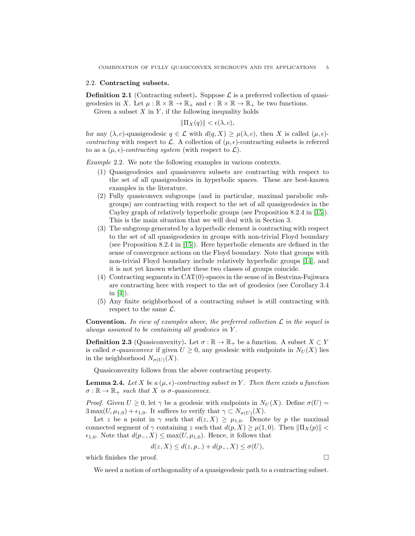#### 2.2. Contracting subsets.

**Definition 2.1** (Contracting subset). Suppose  $\mathcal{L}$  is a preferred collection of quasigeodesics in X. Let  $\mu : \mathbb{R} \times \mathbb{R} \to \mathbb{R}_+$  and  $\epsilon : \mathbb{R} \times \mathbb{R} \to \mathbb{R}_+$  be two functions.

Given a subset  $X$  in  $Y$ , if the following inequality holds

$$
\|\Pi_X(q)\| < \epsilon(\lambda, c),
$$

for any  $(\lambda, c)$ -quasigeodesic  $q \in \mathcal{L}$  with  $d(q, X) \geq \mu(\lambda, c)$ , then X is called  $(\mu, \epsilon)$ *contracting* with respect to L. A collection of  $(\mu, \epsilon)$ -contracting subsets is referred to as a  $(\mu, \epsilon)$ -*contracting system* (with respect to  $\mathcal{L}$ ).

*Example* 2.2*.* We note the following examples in various contexts.

- (1) Quasigeodesics and quasiconvex subsets are contracting with respect to the set of all quasigeodesics in hyperbolic spaces. These are best-known examples in the literature.
- (2) Fully quasiconvex subgroups (and in particular, maximal parabolic subgroups) are contracting with respect to the set of all quasigeodesics in the Cayley graph of relatively hyperbolic groups (see Proposition 8.2.4 in [\[15\]](#page-23-12)). This is the main situation that we will deal with in Section 3.
- (3) The subgroup generated by a hyperbolic element is contracting with respect to the set of all quasigeodesics in groups with non-trivial Floyd boundary (see Proposition 8.2.4 in [\[15\]](#page-23-12)). Here hyperbolic elements are defined in the sense of convergence actions on the Floyd boundary. Note that groups with non-trivial Floyd boundary include relatively hyperbolic groups [\[14\]](#page-23-19), and it is not yet known whether these two classes of groups coincide.
- (4) Contracting segments in CAT(0)-spaces in the sense of in Bestvina-Fujiwara are contracting here with respect to the set of geodesics (see Corollary 3.4 in [\[4\]](#page-23-13)).
- (5) Any finite neighborhood of a contracting subset is still contracting with respect to the same  $\mathcal{L}$ .

**Convention.** In view of examples above, the preferred collection  $\mathcal{L}$  in the sequel is *always assumed to be containing all geodesics in* Y *.*

**Definition 2.3** (Quasiconvexity). Let  $\sigma : \mathbb{R} \to \mathbb{R}_+$  be a function. A subset  $X \subset Y$ is called  $\sigma$ -quasiconvex if given  $U \geq 0$ , any geodesic with endpoints in  $N_U(X)$  lies in the neighborhood  $N_{\sigma(U)}(X)$ .

Quasiconvexity follows from the above contracting property.

<span id="page-4-0"></span>**Lemma 2.4.** Let X be a  $(\mu, \epsilon)$ -contracting subset in Y. Then there exists a function  $\sigma : \mathbb{R} \to \mathbb{R}_+$  *such that* X *is*  $\sigma$ -quasiconvex.

*Proof.* Given  $U \geq 0$ , let  $\gamma$  be a geodesic with endpoints in  $N_U(X)$ . Define  $\sigma(U)$  =  $3 \max(U, \mu_{1,0}) + \epsilon_{1,0}$ . It suffices to verify that  $\gamma \subset N_{\sigma(U)}(X)$ .

Let z be a point in  $\gamma$  such that  $d(z, X) \geq \mu_{1,0}$ . Denote by p the maximal connected segment of  $\gamma$  containing z such that  $d(p, X) \geq \mu(1, 0)$ . Then  $\|\Pi_X(p)\|$  <  $\epsilon_{1,0}$ . Note that  $d(p_-, X)$  ≤ max $(U, \mu_{1,0})$ . Hence, it follows that

$$
d(z, X) \le d(z, p_-) + d(p_-, X) \le \sigma(U),
$$

which finishes the proof.  $\Box$ 

We need a notion of orthogonality of a quasigeodesic path to a contracting subset.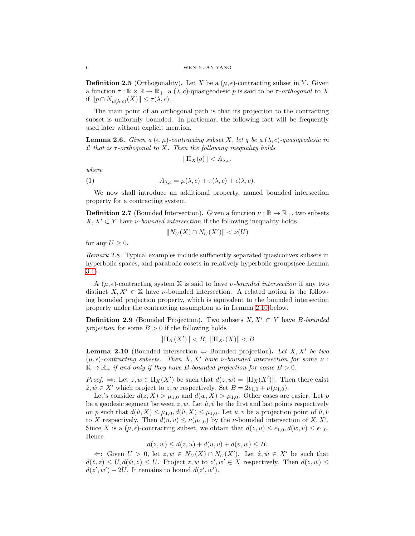**Definition 2.5** (Orthogonality). Let X be a  $(\mu, \epsilon)$ -contracting subset in Y. Given a function  $\tau : \mathbb{R} \times \mathbb{R} \to \mathbb{R}_+$ , a  $(\lambda, c)$ -quasigeodesic p is said to be  $\tau$ -*orthogonal* to X if  $||p \cap N_{\mu(\lambda,c)}(X)|| \leq \tau(\lambda,c).$ 

The main point of an orthogonal path is that its projection to the contracting subset is uniformly bounded. In particular, the following fact will be frequently used later without explicit mention.

**Lemma 2.6.** *Given a*  $(\epsilon, \mu)$ -contracting subset X, let q be a  $(\lambda, c)$ -quasigeodesic in L *that is* τ*-orthogonal to* X*. Then the following inequality holds*

<span id="page-5-1"></span>
$$
\|\Pi_X(q)\| < A_{\lambda,c},
$$

*where*

(1) 
$$
A_{\lambda,c} = \mu(\lambda,c) + \tau(\lambda,c) + \epsilon(\lambda,c).
$$

We now shall introduce an additional property, named bounded intersection property for a contracting system.

**Definition 2.7** (Bounded Intersection). Given a function  $\nu : \mathbb{R} \to \mathbb{R}_+$ , two subsets  $X, X' \subset Y$  have *v*-bounded intersection if the following inequality holds

$$
||N_U(X) \cap N_U(X')|| < \nu(U)
$$

for any  $U \geq 0$ .

*Remark* 2.8*.* Typical examples include sufficiently separated quasiconvex subsets in hyperbolic spaces, and parabolic cosets in relatively hyperbolic groups(see Lemma [3.1\)](#page-12-0).

A  $(\mu, \epsilon)$ -contracting system X is said to have *ν*-bounded intersection if any two distinct  $X, X' \in \mathbb{X}$  have *v*-bounded intersection. A related notion is the following bounded projection property, which is equivalent to the bounded intersection property under the contracting assumption as in Lemma [2.10](#page-5-0) below.

**Definition 2.9** (Bounded Projection). Two subsets  $X, X' \subset Y$  have B-bounded *projection* for some  $B > 0$  if the following holds

$$
\|\Pi_X(X')\| < B, \ \|\Pi_{X'}(X)\| < B
$$

<span id="page-5-0"></span>**Lemma 2.10** (Bounded intersection  $\Leftrightarrow$  Bounded projection). Let X, X' be two (µ, ǫ)*-contracting subsets. Then* X, X′ *have* ν*-bounded intersection for some* ν :  $\mathbb{R} \to \mathbb{R}_+$  *if and only if they have B-bounded projection for some*  $B > 0$ *.* 

*Proof.*  $\Rightarrow$ : Let  $z, w \in \Pi_X(X')$  be such that  $d(z, w) = ||\Pi_X(X')||$ . Then there exist  $\hat{z}, \hat{w} \in X'$  which project to  $z, w$  respectively. Set  $B = 2\epsilon_{1,0} + \nu(\mu_{1,0}).$ 

Let's consider  $d(z, X) > \mu_{1,0}$  and  $d(w, X) > \mu_{1,0}$ . Other cases are easier. Let p be a geodesic segment between  $z, w$ . Let  $\hat{u}, \hat{v}$  be the first and last points respectively on p such that  $d(\hat{u}, X) \leq \mu_{1,0}, d(\hat{v}, X) \leq \mu_{1,0}$ . Let  $u, v$  be a projection point of  $\hat{u}, \hat{v}$ to X respectively. Then  $d(u, v) \le \nu(\mu_{1,0})$  by the *v*-bounded intersection of X, X'. Since X is a  $(\mu, \epsilon)$ -contracting subset, we obtain that  $d(z, u) \leq \epsilon_{1,0}, d(w, v) \leq \epsilon_{1,0}$ . Hence

$$
d(z, w) \le d(z, u) + d(u, v) + d(v, w) \le B.
$$

 $\Leftarrow$ : Given  $U > 0$ , let  $z, w \in N_U(X) \cap N_U(X')$ . Let  $\hat{z}, \hat{w} \in X'$  be such that  $d(\hat{z},z) \leq U, d(\hat{w},z) \leq U$ . Project  $z, w$  to  $z', w' \in X$  respectively. Then  $d(z, w) \leq$  $d(z', w') + 2U$ . It remains to bound  $d(z', w')$ .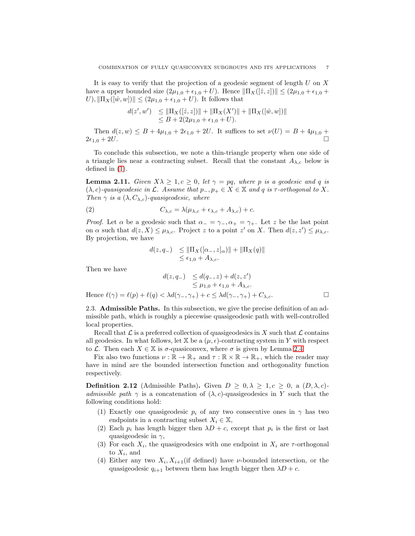It is easy to verify that the projection of a geodesic segment of length  $U$  on  $X$ have a upper bounded size  $(2\mu_{1,0} + \epsilon_{1,0} + U)$ . Hence  $\|\Pi_X([\hat{z}, z])\| \leq (2\mu_{1,0} + \epsilon_{1,0} + \epsilon_{1,0} + \epsilon_{1,0} + \epsilon_{1,0})$  $U$ ),  $\|\Pi_X([\hat w, w])\| \leq (2\mu_{1,0} + \epsilon_{1,0} + U)$ . It follows that

$$
d(z', w') \leq \|\Pi_X([\hat{z}, z])\| + \|\Pi_X(X')\| + \|\Pi_X([\hat{w}, w])\|
$$
  
\n
$$
\leq B + 2(2\mu_{1,0} + \epsilon_{1,0} + U).
$$

Then  $d(z, w) \leq B + 4\mu_{1,0} + 2\epsilon_{1,0} + 2U$ . It suffices to set  $\nu(U) = B + 4\mu_{1,0} + 4\mu_{1,0} + 2\mu_{1,0} + 2U$ .  $2\epsilon_{1,0} + 2U.$ 

To conclude this subsection, we note a thin-triangle property when one side of a triangle lies near a contracting subset. Recall that the constant  $A_{\lambda,c}$  below is defined in [\(1\)](#page-5-1).

<span id="page-6-1"></span>**Lemma 2.11.** *Given*  $X\lambda \geq 1, c \geq 0$ , let  $\gamma = pq$ , where p is a geodesic and q is  $(\lambda, c)$ -quasigeodesic in  $\mathcal{L}$ . Assume that  $p_-, p_+ \in X \in \mathbb{X}$  and q is  $\tau$ -orthogonal to X. *Then*  $\gamma$  *is a*  $(\lambda, C_{\lambda,c})$ *-quasigeodesic, where* 

(2) 
$$
C_{\lambda,c} = \lambda(\mu_{\lambda,c} + \epsilon_{\lambda,c} + A_{\lambda,c}) + c.
$$

*Proof.* Let  $\alpha$  be a geodesic such that  $\alpha = \gamma_-, \alpha_+ = \gamma_+$ . Let z be the last point on  $\alpha$  such that  $d(z, X) \leq \mu_{\lambda, c}$ . Project z to a point z' on X. Then  $d(z, z') \leq \mu_{\lambda, c}$ . By projection, we have

$$
d(z, q_{-}) \leq \|\Pi_X([\alpha_{-}, z]_{\alpha})\| + \|\Pi_X(q)\|
$$
  

$$
\leq \epsilon_{1,0} + A_{\lambda,c}.
$$

Then we have

$$
d(z, q_{-}) \leq d(q_{-}, z) + d(z, z')
$$
  
\n
$$
\leq \mu_{1,0} + \epsilon_{1,0} + A_{\lambda,c}.
$$
  
\nHence  $\ell(\gamma) = \ell(p) + \ell(q) < \lambda d(\gamma_{-}, \gamma_{+}) + c \leq \lambda d(\gamma_{-}, \gamma_{+}) + C_{\lambda,c}.$ 

2.3. Admissible Paths. In this subsection, we give the precise definition of an admissible path, which is roughly a piecewise quasigeodesic path with well-controlled local properties.

Recall that  $\mathcal L$  is a preferred collection of quasigeodesics in X such that  $\mathcal L$  contains all geodesics. In what follows, let X be a  $(\mu, \epsilon)$ -contracting system in Y with respect to *L*. Then each  $X \in \mathbb{X}$  is σ-quasiconvex, where σ is given by Lemma [2.4.](#page-4-0)

Fix also two functions  $\nu : \mathbb{R} \to \mathbb{R}_+$  and  $\tau : \mathbb{R} \times \mathbb{R} \to \mathbb{R}_+$ , which the reader may have in mind are the bounded intersection function and orthogonality function respectively.

<span id="page-6-0"></span>**Definition 2.12** (Admissible Paths). Given  $D \geq 0, \lambda \geq 1, c \geq 0, \lambda \in (D, \lambda, c)$ *admissible path*  $\gamma$  is a concatenation of  $(\lambda, c)$ -quasigeodesics in Y such that the following conditions hold:

- (1) Exactly one quasigeodesic  $p_i$  of any two consecutive ones in  $\gamma$  has two endpoints in a contracting subset  $X_i \in \mathbb{X}$ ,
- (2) Each  $p_i$  has length bigger then  $\lambda D + c$ , except that  $p_i$  is the first or last quasigeodesic in  $\gamma$ ,
- (3) For each  $X_i$ , the quasigeodesics with one endpoint in  $X_i$  are  $\tau$ -orthogonal to  $X_i$ , and
- (4) Either any two  $X_i, X_{i+1}$  (if defined) have *ν*-bounded intersection, or the quasigeodesic  $q_{i+1}$  between them has length bigger then  $\lambda D + c$ .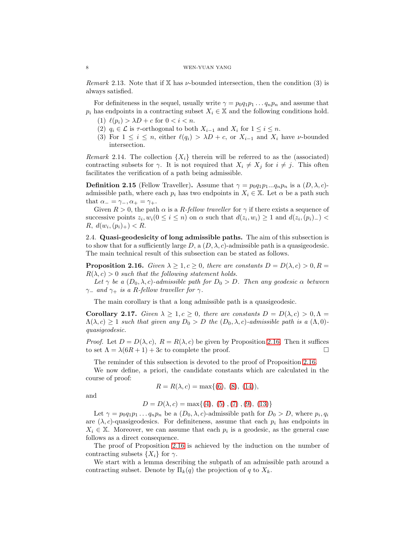*Remark* 2.13. Note that if X has  $\nu$ -bounded intersection, then the condition (3) is always satisfied.

For definiteness in the sequel, usually write  $\gamma = p_0 q_1 p_1 \dots q_n p_n$  and assume that  $p_i$  has endpoints in a contracting subset  $X_i \in \mathbb{X}$  and the following conditions hold.

- (1)  $\ell(p_i) > \lambda D + c$  for  $0 < i < n$ .
- (2)  $q_i \in \mathcal{L}$  is  $\tau$ -orthogonal to both  $X_{i-1}$  and  $X_i$  for  $1 \leq i \leq n$ .
- (3) For  $1 \leq i \leq n$ , either  $\ell(q_i) > \lambda D + c$ , or  $X_{i-1}$  and  $X_i$  have *ν*-bounded intersection.

*Remark* 2.14. The collection  $\{X_i\}$  therein will be referred to as the (associated) contracting subsets for  $\gamma$ . It is not required that  $X_i \neq X_j$  for  $i \neq j$ . This often facilitates the verification of a path being admissible.

<span id="page-7-2"></span>**Definition 2.15** (Fellow Traveller). Assume that  $\gamma = p_0 q_1 p_1 ... q_n p_n$  is a  $(D, \lambda, c)$ admissible path, where each  $p_i$  has two endpoints in  $X_i \in \mathbb{X}$ . Let  $\alpha$  be a path such that  $\alpha_-=\gamma_-, \alpha_+=\gamma_+.$ 

Given  $R > 0$ , the path  $\alpha$  is a R-fellow traveller for  $\gamma$  if there exists a sequence of successive points  $z_i, w_i$  ( $0 \le i \le n$ ) on  $\alpha$  such that  $d(z_i, w_i) \ge 1$  and  $d(z_i, (p_i)_{-})$  $R, d(w_i, (p_i)_+) < R.$ 

2.4. Quasi-geodesicity of long admissible paths. The aim of this subsection is to show that for a sufficiently large D, a  $(D, \lambda, c)$ -admissible path is a quasigeodesic. The main technical result of this subsection can be stated as follows.

<span id="page-7-0"></span>**Proposition 2.16.** *Given*  $\lambda \geq 1, c \geq 0$ , *there are constants*  $D = D(\lambda, c) > 0, R =$  $R(\lambda, c) > 0$  *such that the following statement holds.* 

*Let*  $\gamma$  *be a*  $(D_0, \lambda, c)$ *-admissible path for*  $D_0 > D$ *. Then any geodesic*  $\alpha$  *between*  $\gamma$ <sup>-</sup> and  $\gamma$ <sup>+</sup> *is a R-fellow traveller for*  $\gamma$ *.* 

The main corollary is that a long admissible path is a quasigeodesic.

<span id="page-7-1"></span>**Corollary 2.17.** *Given*  $\lambda \geq 1, c \geq 0$ , *there are constants*  $D = D(\lambda, c) > 0, \Lambda =$  $\Lambda(\lambda, c) \geq 1$  *such that given any*  $D_0 > D$  *the*  $(D_0, \lambda, c)$ *-admissible path is a*  $(\Lambda, 0)$ *quasigeodesic.*

*Proof.* Let  $D = D(\lambda, c)$ ,  $R = R(\lambda, c)$  be given by Proposition [2.16.](#page-7-0) Then it suffices to set  $\Lambda = \lambda(6R + 1) + 3c$  to complete the proof.

The reminder of this subsection is devoted to the proof of Proposition [2.16.](#page-7-0)

We now define, a priori, the candidate constants which are calculated in the course of proof:

$$
R = R(\lambda, c) = \max\{(6), (8), (14)\},\
$$

and

 $D = D(\lambda, c) = \max\{(4), (5), (7), (9), (13)\}$  $D = D(\lambda, c) = \max\{(4), (5), (7), (9), (13)\}$  $D = D(\lambda, c) = \max\{(4), (5), (7), (9), (13)\}$  $D = D(\lambda, c) = \max\{(4), (5), (7), (9), (13)\}$  $D = D(\lambda, c) = \max\{(4), (5), (7), (9), (13)\}$  $D = D(\lambda, c) = \max\{(4), (5), (7), (9), (13)\}$  $D = D(\lambda, c) = \max\{(4), (5), (7), (9), (13)\}$  $D = D(\lambda, c) = \max\{(4), (5), (7), (9), (13)\}$  $D = D(\lambda, c) = \max\{(4), (5), (7), (9), (13)\}$  $D = D(\lambda, c) = \max\{(4), (5), (7), (9), (13)\}$  $D = D(\lambda, c) = \max\{(4), (5), (7), (9), (13)\}$ 

Let  $\gamma = p_0 q_1 p_1 \dots q_n p_n$  be a  $(D_0, \lambda, c)$ -admissible path for  $D_0 > D$ , where  $p_i, q_i$ are  $(\lambda, c)$ -quasigeodesics. For definiteness, assume that each  $p_i$  has endpoints in  $X_i \in \mathbb{X}$ . Moreover, we can assume that each  $p_i$  is a geodesic, as the general case follows as a direct consequence.

The proof of Proposition [2.16](#page-7-0) is achieved by the induction on the number of contracting subsets  $\{X_i\}$  for  $\gamma$ .

We start with a lemma describing the subpath of an admissible path around a contracting subset. Denote by  $\Pi_k(q)$  the projection of q to  $X_k$ .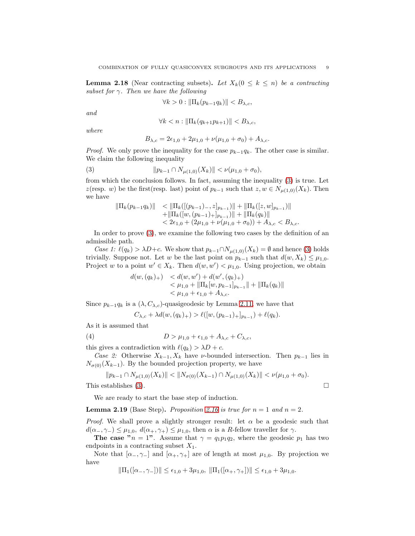<span id="page-8-2"></span>**Lemma 2.18** (Near contracting subsets). Let  $X_k(0 \leq k \leq n)$  be a contracting *subset for* γ*. Then we have the following*

$$
\forall k > 0 : \|\Pi_k(p_{k-1}q_k)\| < B_{\lambda,c},
$$

*and*

$$
\forall k < n : \left\| \Pi_k(q_{k+1}p_{k+1}) \right\| < B_{\lambda,c},
$$

*where*

<span id="page-8-1"></span>
$$
B_{\lambda,c} = 2\epsilon_{1,0} + 2\mu_{1,0} + \nu(\mu_{1,0} + \sigma_0) + A_{\lambda,c}.
$$

*Proof.* We only prove the inequality for the case  $p_{k-1}q_k$ . The other case is similar. We claim the following inequality

(3) 
$$
||p_{k-1} \cap N_{\mu(1,0)}(X_k)|| < \nu(\mu_{1,0} + \sigma_0),
$$

from which the conclusion follows. In fact, assuming the inequality [\(3\)](#page-8-1) is true. Let z(resp. w) be the first(resp. last) point of  $p_{k-1}$  such that  $z, w \in N_{\mu(1,0)}(X_k)$ . Then we have

$$
\|\Pi_k(p_{k-1}q_k)\| < \|\Pi_k([p_{k-1})-z]_{p_{k-1}})\| + \|\Pi_k([z,w]_{p_{k-1}})\| \n+ \|\Pi_k([w,(p_{k-1})+]_{p_{k-1}})\| + \|\Pi_k(q_k)\| \n< 2\epsilon_{1,0} + (2\mu_{1,0} + \nu(\mu_{1,0} + \sigma_0)) + A_{\lambda,c} < B_{\lambda,c}.
$$

In order to prove [\(3\)](#page-8-1), we examine the following two cases by the definition of an admissible path.

*Case 1:*  $\ell(q_k) > \lambda D + c$ . We show that  $p_{k-1} \cap N_{\mu(1,0)}(X_k) = \emptyset$  and hence [\(3\)](#page-8-1) holds trivially. Suppose not. Let w be the last point on  $p_{k-1}$  such that  $d(w, X_k) \leq \mu_{1,0}$ . Project w to a point  $w' \in X_k$ . Then  $d(w, w') < \mu_{1,0}$ . Using projection, we obtain

$$
d(w, (q_k)_+) < d(w, w') + d(w', (q_k)_+)
$$
  

$$
< \mu_{1,0} + ||\Pi_k[w, p_{k-1}]_{p_{k-1}}|| + ||\Pi_k(q_k)||
$$
  

$$
< \mu_{1,0} + \epsilon_{1,0} + A_{\lambda,c}.
$$

Since  $p_{k-1}q_k$  is a  $(\lambda, C_{\lambda,c})$ -quasigeodesic by Lemma [2.11,](#page-6-1) we have that

<span id="page-8-0"></span>
$$
C_{\lambda,c} + \lambda d(w, (q_k)_+) > \ell([w, (p_{k-1})_+]_{p_{k-1}}) + \ell(q_k).
$$

As it is assumed that

(4) 
$$
D > \mu_{1,0} + \epsilon_{1,0} + A_{\lambda,c} + C_{\lambda,c},
$$

this gives a contradiction with  $\ell(q_k) > \lambda D + c$ .

*Case 2:* Otherwise  $X_{k-1}$ ,  $X_k$  have *ν*-bounded intersection. Then  $p_{k-1}$  lies in  $N_{\sigma(0)}(X_{k-1})$ . By the bounded projection property, we have

$$
||p_{k-1} \cap N_{\mu(1,0)}(X_k)|| < ||N_{\sigma(0)}(X_{k-1}) \cap N_{\mu(1,0)}(X_k)|| < \nu(\mu_{1,0} + \sigma_0).
$$
  
This establishes (3).

We are ready to start the base step of induction.

<span id="page-8-3"></span>**Lemma 2.19** (Base Step). *Proposition [2.16](#page-7-0) is true for*  $n = 1$  *and*  $n = 2$ .

*Proof.* We shall prove a slightly stronger result: let  $\alpha$  be a geodesic such that  $d(\alpha_{-}, \gamma_{-}) \leq \mu_{1,0}, d(\alpha_{+}, \gamma_{+}) \leq \mu_{1,0}$ , then  $\alpha$  is a R-fellow traveller for  $\gamma$ .

The case " $n = 1$ ". Assume that  $\gamma = q_1 p_1 q_2$ , where the geodesic  $p_1$  has two endpoints in a contracting subset  $X_1$ .

Note that  $[\alpha_-, \gamma_-]$  and  $[\alpha_+, \gamma_+]$  are of length at most  $\mu_{1,0}$ . By projection we have

$$
\|\Pi_1([\alpha_-, \gamma_-])\| \le \epsilon_{1,0} + 3\mu_{1,0}, \ \|\Pi_1([\alpha_+, \gamma_+])\| \le \epsilon_{1,0} + 3\mu_{1,0}.
$$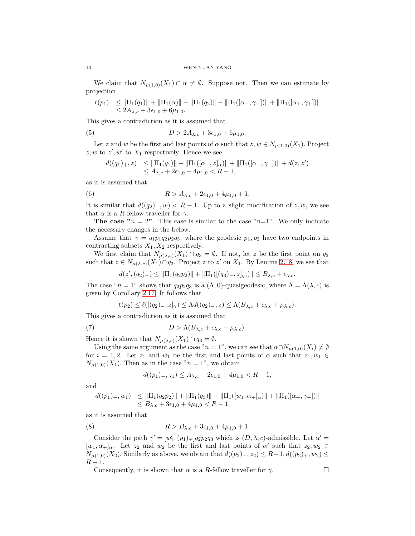We claim that  $N_{\mu(1,0)}(X_1) \cap \alpha \neq \emptyset$ . Suppose not. Then we can estimate by projection

$$
\ell(p_1) \leq \|\Pi_1(q_1)\| + \|\Pi_1(\alpha)\| + \|\Pi_1(q_2)\| + \|\Pi_1([\alpha_-, \gamma_-])\| + \|\Pi_1([\alpha_+, \gamma_+])\|
$$
  

$$
\leq 2A_{\lambda,c} + 3\epsilon_{1,0} + 6\mu_{1,0}.
$$

This gives a contradiction as it is assumed that

(5) 
$$
D > 2A_{\lambda,c} + 3\epsilon_{1,0} + 6\mu_{1,0}.
$$

Let z and w be the first and last points of  $\alpha$  such that  $z, w \in N_{\mu(1,0)}(X_1)$ . Project  $z, w$  to  $z', w'$  to  $X_1$  respectively. Hence we see

<span id="page-9-2"></span><span id="page-9-0"></span>
$$
d((q_1)_+,z) \leq \|\Pi_1(q_1)\| + \|\Pi_1([\alpha_-,z]_{\alpha})\| + \|\Pi_1([\alpha_-, \gamma_-])\| + d(z,z')
$$
  

$$
\leq A_{\lambda,c} + 2\epsilon_{1,0} + 4\mu_{1,0} < R - 1,
$$

as it is assumed that

(6) 
$$
R > A_{\lambda,c} + 2\epsilon_{1,0} + 4\mu_{1,0} + 1.
$$

It is similar that  $d((q_2)_{-}, w) < R - 1$ . Up to a slight modification of z, w, we see that  $\alpha$  is a R-fellow traveller for  $\gamma$ .

**The case "** $n = 2$ ". This case is similar to the case " $n=1$ ". We only indicate the necessary changes in the below.

Assume that  $\gamma = q_1 p_1 q_2 p_2 q_3$ , where the geodesic  $p_1, p_2$  have two endpoints in contracting subsets  $X_1, X_2$  respectively.

We first claim that  $N_{\mu(\lambda,c)}(X_1) \cap q_3 = \emptyset$ . If not, let z be the first point on  $q_3$ such that  $z \in N_{\mu(\lambda,c)}(X_1) \cap q_3$ . Project z to z' on  $X_1$ . By Lemma [2.18,](#page-8-2) we see that

$$
d(z',(q_2)_{-})\leq \|\Pi_1(q_2p_2)\|+\|\Pi_1([(q_3)_{-},z]_{q_3})\|\leq B_{\lambda,c}+\epsilon_{\lambda,c}.
$$

The case " $n = 1$ " shows that  $q_2p_2q_3$  is a  $(\Lambda, 0)$ -quasigeodesic, where  $\Lambda = \Lambda(\lambda, c)$  is given by Corollary [2.17.](#page-7-1) It follows that

<span id="page-9-3"></span>
$$
\ell(p_2) \leq \ell([(q_2)_-, z]_{\gamma}) \leq \Lambda d((q_2)_-, z) \leq \Lambda(B_{\lambda, c} + \epsilon_{\lambda, c} + \mu_{\lambda, c}).
$$

This gives a contradiction as it is assumed that

(7) 
$$
D > \Lambda(B_{\lambda,c} + \epsilon_{\lambda,c} + \mu_{\lambda,c}).
$$

Hence it is shown that  $N_{\mu(\lambda,c)}(X_1) \cap q_3 = \emptyset$ .

Using the same argument as the case " $n = 1$ ", we can see that  $\alpha \cap N_{\mu(1,0)}(X_i) \neq \emptyset$ for  $i = 1, 2$ . Let  $z_1$  and  $w_1$  be the first and last points of  $\alpha$  such that  $z_1, w_1 \in$  $N_{\mu(1,0)}(X_1)$ . Then as in the case " $n=1$ ", we obtain

<span id="page-9-1"></span>
$$
d((p_1)_{-}, z_1) \le A_{\lambda, c} + 2\epsilon_{1,0} + 4\mu_{1,0} < R - 1,
$$

and

$$
d((p_1)_+, w_1) \le ||\Pi_1(q_2p_2)|| + ||\Pi_1(q_3)|| + ||\Pi_1([w_1, \alpha_+]_\alpha)|| + ||\Pi_1([\alpha_+, \gamma_+])||
$$
  

$$
\le B_{\lambda, c} + 3\epsilon_{1,0} + 4\mu_{1,0} < R - 1,
$$

as it is assumed that

(8) 
$$
R > B_{\lambda,c} + 3\epsilon_{1,0} + 4\mu_{1,0} + 1.
$$

Consider the path  $\gamma' = [w'_1, (p_1)_+] q_2 p_2 q_3$  which is  $(D, \lambda, c)$ -admissible. Let  $\alpha' =$  $[w_1, \alpha_+]_{\alpha}$ . Let  $z_2$  and  $w_2$  be the first and last points of  $\alpha'$  such that  $z_2, w_2 \in$  $N_{\mu(1,0)}(X_2)$ . Similarly as above, we obtain that  $d((p_2)_-, z_2) \leq R-1, d((p_2)_+, w_2) \leq$  $R-1$ .

Consequently, it is shown that  $\alpha$  is a R-fellow traveller for  $\gamma$ .

$$
10\quad
$$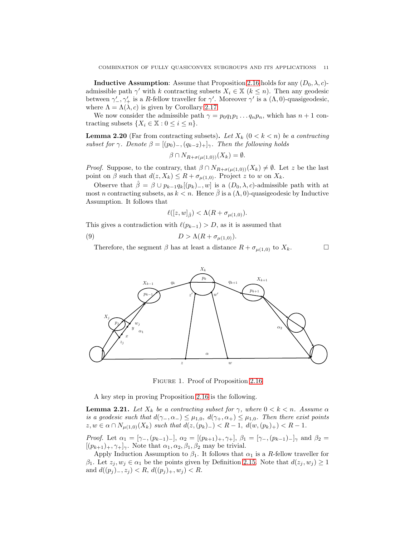**Inductive Assumption:** Assume that Proposition [2.16](#page-7-0) holds for any  $(D_0, \lambda, c)$ admissible path  $\gamma'$  with k contracting subsets  $X_i \in \mathbb{X}$   $(k \leq n)$ . Then any geodesic between  $\gamma'_-, \gamma'_+$  is a R-fellow traveller for  $\gamma'$ . Moreover  $\gamma'$  is a  $(\Lambda, 0)$ -quasigeodesic, where  $\Lambda = \Lambda(\lambda, c)$  is given by Corollary [2.17.](#page-7-1)

We now consider the admissible path  $\gamma = p_0 q_1 p_1 \dots q_n p_n$ , which has  $n + 1$  contracting subsets  $\{X_i \in \mathbb{X} : 0 \leq i \leq n\}.$ 

<span id="page-10-2"></span>**Lemma 2.20** (Far from contracting subsets). Let  $X_k$  ( $0 < k < n$ ) be a contracting *subset for*  $\gamma$ *. Denote*  $\beta = [(p_0)_-, (q_{k-2})_+]_{\gamma}$ *. Then the following holds* 

$$
\beta \cap N_{R+\sigma(\mu(1,0))}(X_k) = \emptyset.
$$

*Proof.* Suppose, to the contrary, that  $\beta \cap N_{R+\sigma(\mu(1,0))}(X_k) \neq \emptyset$ . Let z be the last point on  $\beta$  such that  $d(z, X_k) \leq R + \sigma_{\mu(1,0)}$ . Project z to w on  $X_k$ .

Observe that  $\hat{\beta} = \beta \cup p_{k-1}q_k[(p_k)_-, w]$  is a  $(D_0, \lambda, c)$ -admissible path with at most n contracting subsets, as  $k < n$ . Hence  $\bar{\beta}$  is a  $(\Lambda, 0)$ -quasigeodesic by Inductive Assumption. It follows that

<span id="page-10-0"></span>
$$
\ell([z,w]_{\hat{\beta}}) < \Lambda(R + \sigma_{\mu(1,0)}).
$$

This gives a contradiction with  $\ell(p_{k-1}) > D$ , as it is assumed that

$$
(9) \t\t D > \Lambda(R + \sigma_{\mu(1,0)}).
$$

Therefore, the segment  $\beta$  has at least a distance  $R + \sigma_{\mu(1,0)}$  to  $X_k$ .





<span id="page-10-1"></span>Figure 1. Proof of Proposition [2.16](#page-7-0)

A key step in proving Proposition [2.16](#page-7-0) is the following.

<span id="page-10-3"></span>**Lemma 2.21.** *Let*  $X_k$  *be a contracting subset for*  $\gamma$ *, where*  $0 < k < n$ *. Assume*  $\alpha$ *is a geodesic such that*  $d(\gamma_-, \alpha_-) \leq \mu_{1,0}, d(\gamma_+, \alpha_+) \leq \mu_{1,0}.$  Then there exist points  $z, w \in \alpha \cap N_{\mu(1,0)}(X_k)$  *such that*  $d(z,(p_k)_{-}) < R-1$ ,  $d(w,(p_k)_{+}) < R-1$ .

*Proof.* Let  $\alpha_1 = [\gamma_-, (p_{k-1})_+]$ ,  $\alpha_2 = [(p_{k+1})_+, \gamma_+]$ ,  $\beta_1 = [\gamma_-, (p_{k-1})_-]_{\gamma}$  and  $\beta_2 =$  $[(p_{k+1})_+, \gamma_+]_{\gamma}$ . Note that  $\alpha_1, \alpha_2, \beta_1, \beta_2$  may be trivial.

Apply Induction Assumption to  $\beta_1$ . It follows that  $\alpha_1$  is a R-fellow traveller for  $\beta_1$ . Let  $z_i, w_j \in \alpha_1$  be the points given by Definition [2.15.](#page-7-2) Note that  $d(z_i, w_j) \geq 1$ and  $d((p_j)_{-}, z_j) < R$ ,  $d((p_j)_{+}, w_j) < R$ .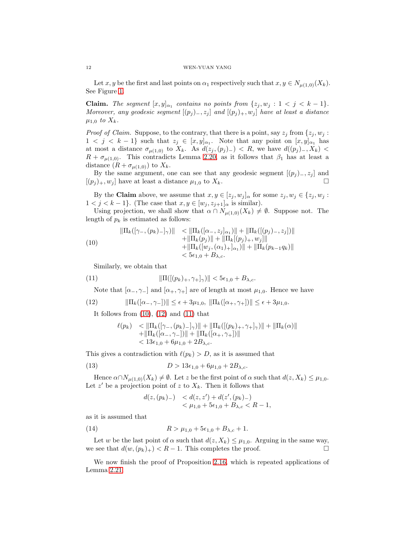Let x, y be the first and last points on  $\alpha_1$  respectively such that  $x, y \in N_{\mu(1,0)}(X_k)$ . See Figure [1.](#page-10-1)

**Claim.** *The segment*  $[x, y]_{\alpha_1}$  *contains no points from*  $\{z_j, w_j : 1 < j < k-1\}$ *. Moreover, any geodesic segment*  $[(p_j)_-, z_j]$  *and*  $[(p_j)_+, w_j]$  *have at least a distance*  $\mu_{1,0}$  *to*  $X_k$ .

*Proof of Claim.* Suppose, to the contrary, that there is a point, say  $z_j$  from  $\{z_j, w_j :$  $1 < j < k-1$  such that  $z_j \in [x,y]_{\alpha_1}$ . Note that any point on  $[x,y]_{\alpha_1}$  has at most a distance  $\sigma_{\mu(1,0)}$  to  $X_k$ . As  $d(z_j, (p_j)_{-}) < R$ , we have  $d((p_j)_{-}, X_k) <$  $R + \sigma_{\mu(1,0)}$ . This contradicts Lemma [2.20,](#page-10-2) as it follows that  $\beta_1$  has at least a distance  $(R + \sigma_{\mu(1,0)})$  to  $X_k$ .

By the same argument, one can see that any geodesic segment  $[(p_j)_{-}, z_j]$  and  $[(p_j)_+, w_j]$  have at least a distance  $\mu_{1,0}$  to  $X_k$ .

By the Claim above, we assume that  $x, y \in [z_j, w_j]_{\alpha}$  for some  $z_j, w_j \in \{z_j, w_j :$  $1 < j < k - 1$ . (The case that  $x, y \in [w_j, z_{j+1}]_{\alpha}$  is similar).

Using projection, we shall show that  $\alpha \cap N_{\mu(1,0)}(X_k) \neq \emptyset$ . Suppose not. The length of  $p_k$  is estimated as follows:

<span id="page-11-2"></span>(10)  
\n
$$
\|\Pi_k([\gamma_-, (p_k)_-]_{\gamma})\| < \|\Pi_k([\alpha_-, z_j]_{\alpha_1})\| + \|\Pi_k([\rho_j]_{-}, z_j])\| \n+ \|\Pi_k(p_j)\| + \|\Pi_k[(p_j)_{+}, w_j]\| \n+ \|\Pi_k([w_j, (\alpha_1)_+]_{\alpha_1})\| + \|\Pi_k(p_{k-1}q_k)\| \n< 5\epsilon_{1,0} + B_{\lambda,c}.
$$

Similarly, we obtain that

(11) 
$$
\|\Pi([p_k)_+,\gamma_+]_\gamma)\| < 5\epsilon_{1,0} + B_{\lambda,c}.
$$

Note that  $[\alpha_-, \gamma_-]$  and  $[\alpha_+, \gamma_+]$  are of length at most  $\mu_{1,0}$ . Hence we have

(12) 
$$
\|\Pi_k([\alpha_-, \gamma_-])\| \le \epsilon + 3\mu_{1,0}, \|\Pi_k([\alpha_+, \gamma_+])\| \le \epsilon + 3\mu_{1,0}.
$$

It follows from  $(10)$ ,  $(12)$  and  $(11)$  that

<span id="page-11-4"></span><span id="page-11-3"></span>
$$
\ell(p_k) < ||\Pi_k([\gamma_-, (p_k)_-]\gamma)|| + ||\Pi_k([(p_k)_+, \gamma_+]\gamma)|| + ||\Pi_k(\alpha)||
$$
  
 
$$
+ ||\Pi_k([\alpha_-, \gamma_-])|| + ||\Pi_k([\alpha_+, \gamma_+])||
$$
  
 
$$
< 13\epsilon_{1,0} + 6\mu_{1,0} + 2B_{\lambda,c}.
$$

This gives a contradiction with  $\ell(p_k) > D$ , as it is assumed that

(13) 
$$
D > 13\epsilon_{1,0} + 6\mu_{1,0} + 2B_{\lambda,c}.
$$

Hence  $\alpha \cap N_{\mu(1,0)}(X_k) \neq \emptyset$ . Let z be the first point of  $\alpha$  such that  $d(z, X_k) \leq \mu_{1,0}$ . Let  $z'$  be a projection point of  $z$  to  $X_k$ . Then it follows that

<span id="page-11-1"></span><span id="page-11-0"></span>
$$
d(z, (p_k)_{-}) < d(z, z') + d(z', (p_k)_{-}) < \mu_{1,0} + 5\epsilon_{1,0} + B_{\lambda,c} < R - 1,
$$

as it is assumed that

(14) 
$$
R > \mu_{1,0} + 5\epsilon_{1,0} + B_{\lambda,c} + 1.
$$

Let w be the last point of  $\alpha$  such that  $d(z, X_k) \leq \mu_{1,0}$ . Arguing in the same way, we see that  $d(w,(p_k)_+) < R-1$ . This completes the proof.

We now finish the proof of Proposition [2.16,](#page-7-0) which is repeated applications of Lemma [2.21.](#page-10-3)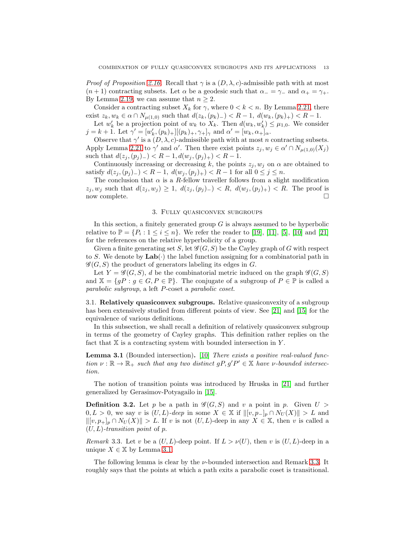*Proof of Proposition* [2.16.](#page-7-0) Recall that  $\gamma$  is a  $(D, \lambda, c)$ -admissible path with at most  $(n + 1)$  contracting subsets. Let  $\alpha$  be a geodesic such that  $\alpha = \gamma_-\$  and  $\alpha_+ = \gamma_+$ . By Lemma [2.19,](#page-8-3) we can assume that  $n \geq 2$ .

Consider a contracting subset  $X_k$  for  $\gamma$ , where  $0 < k < n$ . By Lemma [2.21,](#page-10-3) there exist  $z_k, w_k \in \alpha \cap N_{\mu(1,0)}$  such that  $d(z_k,(p_k)_{-}) < R-1$ ,  $d(w_k,(p_k)_{+}) < R-1$ .

Let  $w'_k$  be a projection point of  $w_k$  to  $X_k$ . Then  $d(w_k, w'_k) \leq \mu_{1,0}$ . We consider  $j = k + 1$ . Let  $\gamma' = [w'_k, (p_k)_+] [(p_k)_+, \gamma_+]_\gamma$  and  $\alpha' = [w_k, \alpha_*]_\alpha$ .

Observe that  $\gamma'$  is a  $(D, \lambda, c)$ -admissible path with at most n contracting subsets. Apply Lemma [2.21](#page-10-3) to  $\gamma'$  and  $\alpha'$ . Then there exist points  $z_j, w_j \in \alpha' \cap N_{\mu(1,0)}(X_j)$ such that  $d(z_j, (p_j)_{-}) < R - 1, d(w_j, (p_j)_{+}) < R - 1.$ 

Continuously increasing or decreasing k, the points  $z_j, w_j$  on  $\alpha$  are obtained to satisfy  $d(z_i, (p_i)_{-}) < R-1$ ,  $d(w_i, (p_i)_{+}) < R-1$  for all  $0 \leq j \leq n$ .

The conclusion that  $\alpha$  is a R-fellow traveller follows from a slight modification  $z_j, w_j$  such that  $d(z_j, w_j) \geq 1$ ,  $d(z_j, (p_j)_{-}) < R$ ,  $d(w_j, (p_j)_{+}) < R$ . The proof is now complete.

## 3. Fully quasiconvex subgroups

In this section, a finitely generated group  $G$  is always assumed to be hyperbolic relative to  $\mathbb{P} = \{P_i : 1 \le i \le n\}$ . We refer the reader to [\[19\]](#page-23-15), [\[11\]](#page-23-20), [\[5\]](#page-23-21), [\[10\]](#page-23-22) and [\[21\]](#page-23-23) for the references on the relative hyperbolicity of a group.

Given a finite generating set S, let  $\mathscr{G}(G, S)$  be the Cayley graph of G with respect to S. We denote by  $\text{Lab}(\cdot)$  the label function assigning for a combinatorial path in  $\mathscr{G}(G, S)$  the product of generators labeling its edges in G.

Let  $Y = \mathscr{G}(G, S)$ , d be the combinatorial metric induced on the graph  $\mathscr{G}(G, S)$ and  $\mathbb{X} = \{ gP : g \in G, P \in \mathbb{P} \}.$  The conjugate of a subgroup of  $P \in \mathbb{P}$  is called a *parabolic subgroup*, a left P-coset a *parabolic coset*.

3.1. Relatively quasiconvex subgroups. Relative quasiconvexity of a subgroup has been extensively studied from different points of view. See [\[21\]](#page-23-23) and [\[15\]](#page-23-12) for the equivalence of various definitions.

In this subsection, we shall recall a definition of relatively quasiconvex subgroup in terms of the geometry of Cayley graphs. This definition rather replies on the fact that  $X$  is a contracting system with bounded intersection in  $Y$ .

<span id="page-12-0"></span>Lemma 3.1 (Bounded intersection). [\[10\]](#page-23-22) *There exists a positive real-valued function*  $\nu : \mathbb{R} \to \mathbb{R}_+$  *such that any two distinct*  $gP, g'P' \in \mathbb{X}$  *have*  $\nu$ -bounded intersec*tion.*

The notion of transition points was introduced by Hruska in [\[21\]](#page-23-23) and further generalized by Gerasimov-Potyagailo in [\[15\]](#page-23-12).

**Definition 3.2.** Let p be a path in  $\mathcal{G}(G, S)$  and v a point in p. Given  $U >$  $0, L > 0$ , we say v is  $(U, L)$ -deep in some  $X \in \mathbb{X}$  if  $\|[v, p_{-}]_{p} \cap N_{U}(X)\| > L$  and  $||[v, p_{+}]_{p} \cap N_{U}(X)|| > L$ . If v is not  $(U, L)$ -deep in any  $X \in \mathbb{X}$ , then v is called a (U, L)*-transition point* of p.

<span id="page-12-1"></span>*Remark* 3.3. Let v be a  $(U, L)$ -deep point. If  $L > \nu(U)$ , then v is  $(U, L)$ -deep in a unique  $X \in \mathbb{X}$  by Lemma [3.1.](#page-12-0)

The following lemma is clear by the  $\nu$ -bounded intersection and Remark [3.3.](#page-12-1) It roughly says that the points at which a path exits a parabolic coset is transitional.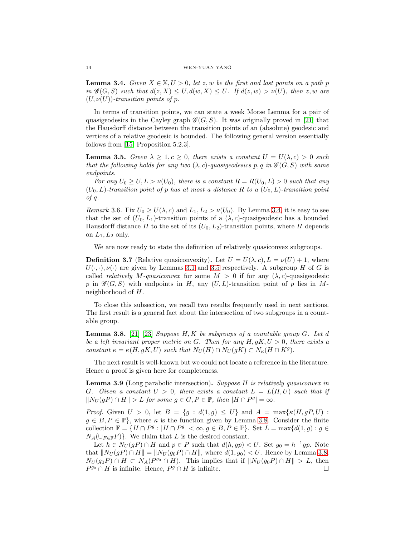<span id="page-13-0"></span>**Lemma 3.4.** *Given*  $X \in \mathbb{X}, U > 0$ , let z, w be the first and last points on a path p *in*  $\mathscr{G}(G, S)$  *such that*  $d(z, X) \leq U, d(w, X) \leq U$ . If  $d(z, w) > \nu(U)$ , then z, w are  $(U, \nu(U))$ *-transition points of p.* 

In terms of transition points, we can state a week Morse Lemma for a pair of quasigeodesics in the Cayley graph  $\mathscr{G}(G, S)$ . It was originally proved in [\[21\]](#page-23-23) that the Hausdorff distance between the transition points of an (absolute) geodesic and vertices of a relative geodesic is bounded. The following general version essentially follows from [\[15,](#page-23-12) Proposition 5.2.3].

<span id="page-13-1"></span>**Lemma 3.5.** *Given*  $\lambda \geq 1, c \geq 0$ *, there exists a constant*  $U = U(\lambda, c) > 0$  *such that the following holds for any two*  $(\lambda, c)$ -quasigeodesics p, q in  $\mathscr{G}(G, S)$  with same *endpoints.*

*For any*  $U_0 \geq U, L > \nu(U_0)$ *, there is a constant*  $R = R(U_0, L) > 0$  *such that any*  $(U_0, L)$ -transition point of p has at most a distance R to a  $(U_0, L)$ -transition point *of* q*.*

*Remark* 3.6. Fix  $U_0 \ge U(\lambda, c)$  and  $L_1, L_2 > \nu(U_0)$ . By Lemma [3.4,](#page-13-0) it is easy to see that the set of  $(U_0, L_1)$ -transition points of a  $(\lambda, c)$ -quasigeodesic has a bounded Hausdorff distance H to the set of its  $(U_0, L_2)$ -transition points, where H depends on  $L_1, L_2$  only.

We are now ready to state the definition of relatively quasiconvex subgroups.

**Definition 3.7** (Relative quasiconvexity). Let  $U = U(\lambda, c), L = \nu(U) + 1$ , where  $U(\cdot, \cdot), \nu(\cdot)$  are given by Lemmas [3.1](#page-12-0) and [3.5](#page-13-1) respectively. A subgroup H of G is called *relatively* M-quasiconvex for some  $M > 0$  if for any  $(\lambda, c)$ -quasigeodesic p in  $\mathscr{G}(G, S)$  with endpoints in H, any  $(U, L)$ -transition point of p lies in Mneighborhood of H.

To close this subsection, we recall two results frequently used in next sections. The first result is a general fact about the intersection of two subgroups in a countable group.

<span id="page-13-2"></span>Lemma 3.8. [\[21\]](#page-23-23) [\[23\]](#page-23-8) *Suppose* H, K *be subgroups of a countable group* G*. Let* d *be a left invariant proper metric on* G*. Then for any* H, gK, U > 0*, there exists a constant*  $\kappa = \kappa(H, gK, U)$  *such that*  $N_U(H) \cap N_U(gK) \subset N_{\kappa}(H \cap K^g)$ *.* 

The next result is well-known but we could not locate a reference in the literature. Hence a proof is given here for completeness.

<span id="page-13-3"></span>Lemma 3.9 (Long parabolic intersection). *Suppose* H *is relatively quasiconvex in* G. Given a constant  $U > 0$ , there exists a constant  $L = L(H, U)$  such that if  $\|N_U(gP) \cap H\| > L$  *for some*  $g \in G, P \in \mathbb{P}$ *, then*  $|H \cap P^g| = \infty$ *.* 

*Proof.* Given  $U > 0$ , let  $B = \{g : d(1,g) \leq U\}$  and  $A = \max\{\kappa(H, gP, U):$  $g \in B, P \in \mathbb{P}$ , where  $\kappa$  is the function given by Lemma [3.8.](#page-13-2) Consider the finite collection  $\mathbb{F} = \{H \cap P^g : |H \cap P^g| < \infty, g \in B, P \in \mathbb{P}\}\.$  Set  $L = \max\{d(1, g) : g \in \mathbb{P}\}\$  $N_A(\cup_{F\in\mathbb{F}} F)$ . We claim that L is the desired constant.

Let  $h \in N_U(gP) \cap H$  and  $p \in P$  such that  $d(h, gp) < U$ . Set  $g_0 = h^{-1}gp$ . Note that  $||N_U (gP) \cap H|| = ||N_U (g_0 P) \cap H||$ , where  $d(1, g_0) < U$ . Hence by Lemma [3.8,](#page-13-2)  $N_U(g_0P) \cap H \subset N_A(P^{g_0} \cap H)$ . This implies that if  $||N_U(g_0P) \cap H|| > L$ , then  $P<sup>g</sup>$  ∩ H is infinite. Hence,  $P<sup>g</sup>$  ∩ H is infinite.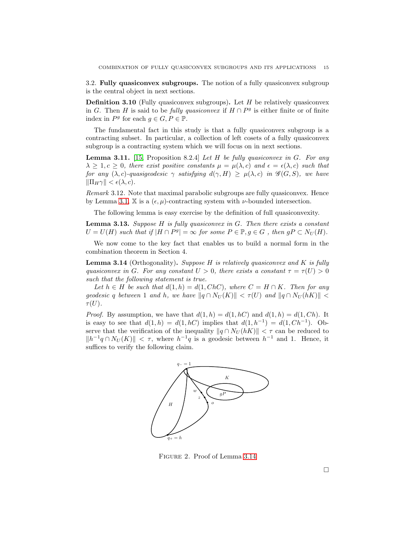3.2. Fully quasiconvex subgroups. The notion of a fully quasiconvex subgroup is the central object in next sections.

**Definition 3.10** (Fully quasiconvex subgroups). Let  $H$  be relatively quasiconvex in G. Then H is said to be *fully quasiconvex* if  $H \cap P<sup>g</sup>$  is either finite or of finite index in  $P^g$  for each  $g \in G, P \in \mathbb{P}$ .

The fundamental fact in this study is that a fully quasiconvex subgroup is a contracting subset. In particular, a collection of left cosets of a fully quasiconvex subgroup is a contracting system which we will focus on in next sections.

<span id="page-14-3"></span>Lemma 3.11. [\[15,](#page-23-12) Proposition 8.2.4] *Let* H *be fully quasiconvex in* G*. For any*  $\lambda \geq 1, c \geq 0$ , there exist positive constants  $\mu = \mu(\lambda, c)$  and  $\epsilon = \epsilon(\lambda, c)$  such that *for any*  $(\lambda, c)$ *-quasigeodesic*  $\gamma$  *satisfying*  $d(\gamma, H) \geq \mu(\lambda, c)$  *in*  $\mathscr{G}(G, S)$ *, we have*  $\|\Pi_H\gamma\| < \epsilon(\lambda, c).$ 

*Remark* 3.12*.* Note that maximal parabolic subgroups are fully quasiconvex. Hence by Lemma [3.1,](#page-12-0) X is a  $(\epsilon, \mu)$ -contracting system with  $\nu$ -bounded intersection.

The following lemma is easy exercise by the definition of full quasiconvexity.

<span id="page-14-2"></span>Lemma 3.13. *Suppose* H *is fully quasiconvex in* G*. Then there exists a constant*  $U = U(H)$  such that if  $|H \cap P^g| = \infty$  for some  $P \in \mathbb{P}, g \in G$ , then  $gP \subset N_U(H)$ .

We now come to the key fact that enables us to build a normal form in the combination theorem in Section 4.

<span id="page-14-0"></span>Lemma 3.14 (Orthogonality). *Suppose* H *is relatively quasiconvex and* K *is fully quasiconvex in* G. For any constant  $U > 0$ , there exists a constant  $\tau = \tau(U) > 0$ *such that the following statement is true.*

Let  $h \in H$  be such that  $d(1, h) = d(1, ChC)$ , where  $C = H \cap K$ . Then for any *geodesic* q *between* 1 *and* h, we have  $\|q \cap N_U(K)\| < \tau(U)$  *and*  $\|q \cap N_U(hK)\|$  $\tau(U)$ .

*Proof.* By assumption, we have that  $d(1, h) = d(1, hC)$  and  $d(1, h) = d(1, Ch)$ . It is easy to see that  $d(1, h) = d(1, hC)$  implies that  $d(1, h^{-1}) = d(1, Ch^{-1})$ . Observe that the verification of the inequality  $||q \cap N_U(hK)|| < \tau$  can be reduced to  $||h^{-1}q \cap N_U(K)|| < \tau$ , where  $h^{-1}q$  is a geodesic between  $h^{-1}$  and 1. Hence, it suffices to verify the following claim.



<span id="page-14-1"></span>Figure 2. Proof of Lemma [3.14](#page-14-0)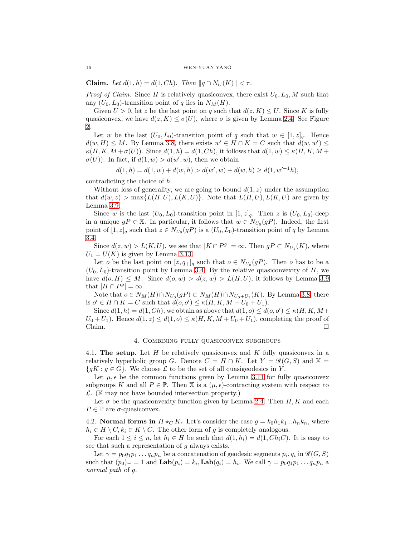**Claim.** Let  $d(1, h) = d(1, Ch)$ . Then  $||q \cap N_U(K)|| < \tau$ .

*Proof of Claim.* Since H is relatively quasiconvex, there exist  $U_0, L_0, M$  such that any  $(U_0, L_0)$ -transition point of q lies in  $N_M(H)$ .

Given  $U > 0$ , let z be the last point on q such that  $d(z, K) \leq U$ . Since K is fully quasiconvex, we have  $d(z, K) \leq \sigma(U)$ , where  $\sigma$  is given by Lemma [2.4.](#page-4-0) See Figure [2.](#page-14-1)

Let w be the last  $(U_0, L_0)$ -transition point of q such that  $w \in [1, z]_q$ . Hence  $d(w, H) \leq M$ . By Lemma [3.8,](#page-13-2) there exists  $w' \in H \cap K = C$  such that  $d(w, w') \leq$  $\kappa(H, K, M + \sigma(U))$ . Since  $d(1, h) = d(1, Ch)$ , it follows that  $d(1, w) \leq \kappa(H, K, M +$  $\sigma(U)$ ). In fact, if  $d(1, w) > d(w', w)$ , then we obtain

$$
d(1, h) = d(1, w) + d(w, h) > d(w', w) + d(w, h) \ge d(1, w'^{-1}h),
$$

contradicting the choice of h.

Without loss of generality, we are going to bound  $d(1, z)$  under the assumption that  $d(w, z) > \max\{L(H, U), L(K, U)\}\$ . Note that  $L(H, U), L(K, U)$  are given by Lemma [3.9.](#page-13-3)

Since w is the last  $(U_0, L_0)$ -transition point in  $[1, z]_q$ . Then z is  $(U_0, L_0)$ -deep in a unique  $gP \in \mathbb{X}$ . In particular, it follows that  $w \in N_{U_0}(gP)$ . Indeed, the first point of  $[1, z]_q$  such that  $z \in N_{U_0}(gP)$  is a  $(U_0, L_0)$ -transition point of q by Lemma [3.4.](#page-13-0)

Since  $d(z, w) > L(K, U)$ , we see that  $|K \cap P^g| = \infty$ . Then  $gP \subset N_{U_1}(K)$ , where  $U_1 = U(K)$  is given by Lemma [3.13.](#page-14-2)

Let *o* be the last point on  $[z, q_{+}]_q$  such that  $o \in N_{U_0}(gP)$ . Then *o* has to be a  $(U_0, L_0)$ -transition point by Lemma [3.4.](#page-13-0) By the relative quasiconvexity of H, we have  $d(o, H) \leq M$ . Since  $d(o, w) > d(z, w) > L(H, U)$ , it follows by Lemma [3.9](#page-13-3) that  $|H \cap P^g| = \infty$ .

Note that  $o \in N_M(H) \cap N_{U_0}(gP) \subset N_M(H) \cap N_{U_0+U_1}(K)$ . By Lemma [3.8,](#page-13-2) there is  $o' \in H \cap K = C$  such that  $d(o, o') \le \kappa(H, K, M + U_0 + U_1)$ .

Since  $d(1, h) = d(1, Ch)$ , we obtain as above that  $d(1, o) \leq d(o, o') \leq \kappa(H, K, M +$  $U_0+U_1$ ). Hence  $d(1, z) \leq d(1, o) \leq \kappa(H, K, M+U_0+U_1)$ , completing the proof of  $Claim.$ 

#### 4. Combining fully quasiconvex subgroups

4.1. The setup. Let  $H$  be relatively quasiconvex and  $K$  fully quasiconvex in a relatively hyperbolic group G. Denote  $C = H \cap K$ . Let  $Y = \mathscr{G}(G, S)$  and  $\mathbb{X} =$  ${gK : g \in G}$ . We choose  $\mathcal L$  to be the set of all quasigeodesics in Y.

Let  $\mu$ ,  $\epsilon$  be the common functions given by Lemma [3.11](#page-14-3) for fully quasiconvex subgroups K and all  $P \in \mathbb{P}$ . Then X is a  $(\mu, \epsilon)$ -contracting system with respect to  $\mathcal{L}$ . (X may not have bounded intersection property.)

Let  $\sigma$  be the quasiconvexity function given by Lemma [2.4.](#page-4-0) Then  $H, K$  and each  $P \in \mathbb{P}$  are  $\sigma$ -quasiconvex.

4.2. Normal forms in  $H \star_C K$ . Let's consider the case  $g = k_0 h_1 k_1...h_n k_n$ , where  $h_i \in H \setminus C, k_i \in K \setminus C$ . The other form of g is completely analogous.

For each  $1 \leq i \leq n$ , let  $h_i \in H$  be such that  $d(1, h_i) = d(1, Ch_iC)$ . It is easy to see that such a representation of  $g$  always exists.

Let  $\gamma = p_0 q_1 p_1 \dots q_n p_n$  be a concatenation of geodesic segments  $p_i, q_i$  in  $\mathscr{G}(G, S)$ such that  $(p_0)$ <sub>-</sub> = 1 and  $\text{Lab}(p_i) = k_i$ ,  $\text{Lab}(q_i) = h_i$ . We call  $\gamma = p_0 q_1 p_1 \dots q_n p_n$  a *normal path* of g.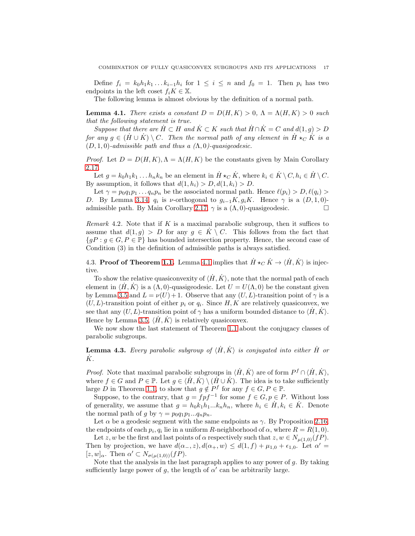Define  $f_i = k_0 h_1 k_1 \dots k_{i-1} h_i$  for  $1 \leq i \leq n$  and  $f_0 = 1$ . Then  $p_i$  has two endpoints in the left coset  $f_i K \in \mathbb{X}$ .

The following lemma is almost obvious by the definition of a normal path.

<span id="page-16-0"></span>**Lemma 4.1.** *There exists a constant*  $D = D(H, K) > 0$ ,  $\Lambda = \Lambda(H, K) > 0$  *such that the following statement is true.*

*Suppose that there are*  $H \subset H$  *and*  $K \subset K$  *such that*  $H \cap K = C$  *and*  $d(1, g) > D$ *for any*  $g \in (\dot{H} \cup \dot{K}) \setminus C$ . Then the normal path of any element in  $\dot{H} \star_C \dot{K}$  is a (D, 1, 0)*-admissible path and thus a (*Λ, 0*)-quasigeodesic.*

*Proof.* Let  $D = D(H, K)$ ,  $\Lambda = \Lambda(H, K)$  be the constants given by Main Corollary [2.17.](#page-7-1)

Let  $g = k_0 h_1 k_1 \dots h_n k_n$  be an element in  $\dot{H} \star_C \dot{K}$ , where  $k_i \in \dot{K} \setminus C$ ,  $h_i \in \dot{H} \setminus C$ . By assumption, it follows that  $d(1, h_i) > D, d(1, k_i) > D$ .

Let  $\gamma = p_0 q_1 p_1 \dots q_n p_n$  be the associated normal path. Hence  $\ell(p_i) > D, \ell(q_i) >$ D. By Lemma [3.14,](#page-14-0)  $q_i$  is v-orthogonal to  $g_{i-1}K, g_iK$ . Hence  $\gamma$  is a  $(D, 1, 0)$ -admissible path. By Main Corollary [2.17,](#page-7-1)  $\gamma$  is a  $(\Lambda, 0)$ -quasigeodesic.

*Remark* 4.2*.* Note that if K is a maximal parabolic subgroup, then it suffices to assume that  $d(1, q) > D$  for any  $q \in \dot{K} \setminus C$ . This follows from the fact that  ${gP : g \in G, P \in \mathbb{P}}$  has bounded intersection property. Hence, the second case of Condition (3) in the definition of admissible paths is always satisfied.

4.3. Proof of Theorem [1.1.](#page-1-0) Lemma [4.1](#page-16-0) implies that  $\dot{H} \star_C \dot{K} \to \langle \dot{H}, \dot{K} \rangle$  is injective.

To show the relative quasiconvexity of  $\langle H, K \rangle$ , note that the normal path of each element in  $\langle H, K \rangle$  is a  $(\Lambda, 0)$ -quasigeodesic. Let  $U = U(\Lambda, 0)$  be the constant given by Lemma [3.5](#page-13-1) and  $L = \nu(U) + 1$ . Observe that any  $(U, L)$ -transition point of  $\gamma$  is a  $(U, L)$ -transition point of either  $p_i$  or  $q_i$ . Since H, K are relatively quasiconvex, we see that any  $(U, L)$ -transition point of  $\gamma$  has a uniform bounded distance to  $\langle \hat{H}, \hat{K} \rangle$ . Hence by Lemma [3.5,](#page-13-1)  $\langle H, K \rangle$  is relatively quasiconvex.

We now show the last statement of Theorem [1.1](#page-1-0) about the conjugacy classes of parabolic subgroups.

<span id="page-16-1"></span>**Lemma 4.3.** Every parabolic subgroup of  $\langle \dot{H}, \dot{K} \rangle$  is conjugated into either  $\dot{H}$  or K˙ *.*

*Proof.* Note that maximal parabolic subgroups in  $\langle \dot{H}, \dot{K} \rangle$  are of form  $P^f \cap \langle \dot{H}, \dot{K} \rangle$ , where  $f \in G$  and  $P \in \mathbb{P}$ . Let  $g \in \langle H, K \rangle \setminus (H \cup K)$ . The idea is to take sufficiently large D in Theorem [1.1,](#page-1-0) to show that  $g \notin P^f$  for any  $f \in G, P \in \mathbb{P}$ .

Suppose, to the contrary, that  $g = f p f^{-1}$  for some  $f \in G, p \in P$ . Without loss of generality, we assume that  $g = h_0 k_1 h_1 ... k_n h_n$ , where  $h_i \in \dot{H}$ ,  $k_i \in \dot{K}$ . Denote the normal path of g by  $\gamma = p_0 q_1 p_1 ... q_n p_n$ .

Let  $\alpha$  be a geodesic segment with the same endpoints as  $\gamma$ . By Proposition [2.16,](#page-7-0) the endpoints of each  $p_i, q_i$  lie in a uniform R-neighborhood of  $\alpha$ , where  $R = R(1, 0)$ .

Let z, w be the first and last points of  $\alpha$  respectively such that  $z, w \in N_{\mu(1,0)}(fP)$ . Then by projection, we have  $d(\alpha_-, z)$ ,  $d(\alpha_+, w) \leq d(1, f) + \mu_{1,0} + \epsilon_{1,0}$ . Let  $\alpha' =$ [z, w]<sub> $\alpha$ </sub>. Then  $\alpha' \subset N_{\sigma(\mu(1,0))}(fP)$ .

Note that the analysis in the last paragraph applies to any power of  $q$ . By taking sufficiently large power of g, the length of  $\alpha'$  can be arbitrarily large.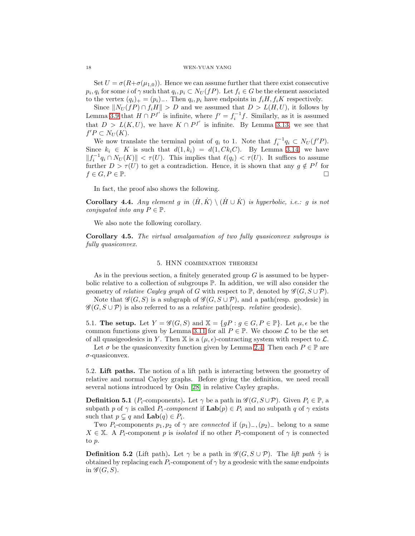Set  $U = \sigma(R + \sigma(\mu_{1,0}))$ . Hence we can assume further that there exist consecutive  $p_i, q_i$  for some i of  $\gamma$  such that  $q_i, p_i \subset N_U(fP)$ . Let  $f_i \in G$  be the element associated to the vertex  $(q_i)_+ = (p_i)_-$ . Then  $q_i, p_i$  have endpoints in  $f_i H, f_i K$  respectively.

Since  $||N_U (fP) \cap f_i H|| > D$  and we assumed that  $D > L(H, U)$ , it follows by Lemma [3.9](#page-13-3) that  $H \cap P^{f'}$  is infinite, where  $f' = f_i^{-1}f$ . Similarly, as it is assumed that  $D > L(K, U)$ , we have  $K \cap P^{f'}$  is infinite. By Lemma [3.13,](#page-14-2) we see that  $f'P \subset N_U(K)$ .

We now translate the terminal point of  $q_i$  to 1. Note that  $f_i^{-1}q_i \subset N_U(f'P)$ . Since  $k_i \in K$  is such that  $d(1, k_i) = d(1, Ck_iC)$ . By Lemma [3.14,](#page-14-0) we have  $||f_i^{-1}q_i \cap N_U(K)|| < \tau(U)$ . This implies that  $\ell(q_i) < \tau(U)$ . It suffices to assume further  $D > \tau(U)$  to get a contradiction. Hence, it is shown that any  $g \notin P^f$  for  $f \in G, P \in \mathbb{P}$ .

In fact, the proof also shows the following.

**Corollary 4.4.** *Any element* g in  $\langle H, K \rangle \setminus (H \cup K)$  is hyperbolic, i.e.: g is not *conjugated into any*  $P \in \mathbb{P}$ *.* 

We also note the following corollary.

Corollary 4.5. *The virtual amalgamation of two fully quasiconvex subgroups is fully quasiconvex.*

### 5. HNN combination theorem

As in the previous section, a finitely generated group  $G$  is assumed to be hyperbolic relative to a collection of subgroups P. In addition, we will also consider the geometry of *relative Cayley graph* of G with respect to P, denoted by  $\mathscr{G}(G, S \cup \mathcal{P})$ .

Note that  $\mathscr{G}(G, S)$  is a subgraph of  $\mathscr{G}(G, S \cup \mathcal{P})$ , and a path(resp. geodesic) in  $\mathscr{G}(G, S \cup \mathcal{P})$  is also referred to as a *relative* path(resp. *relative* geodesic).

5.1. The setup. Let  $Y = \mathscr{G}(G, S)$  and  $\mathbb{X} = \{gP : g \in G, P \in \mathbb{P}\}\$ . Let  $\mu, \epsilon$  be the common functions given by Lemma [3.11](#page-14-3) for all  $P \in \mathbb{P}$ . We choose  $\mathcal L$  to be the set of all quasigeodesics in Y. Then X is a  $(\mu, \epsilon)$ -contracting system with respect to  $\mathcal{L}$ .

Let  $\sigma$  be the quasiconvexity function given by Lemma [2.4.](#page-4-0) Then each  $P \in \mathbb{P}$  are σ-quasiconvex.

5.2. Lift paths. The notion of a lift path is interacting between the geometry of relative and normal Cayley graphs. Before giving the definition, we need recall several notions introduced by Osin [\[28\]](#page-24-3) in relative Cayley graphs.

**Definition 5.1** ( $P_i$ -components). Let  $\gamma$  be a path in  $\mathscr{G}(G, S \cup \mathcal{P})$ . Given  $P_i \in \mathbb{P}$ , a subpath p of  $\gamma$  is called  $P_i$ -component if  $\text{Lab}(p) \in P_i$  and no subpath q of  $\gamma$  exists such that  $p \subsetneq q$  and  $\text{Lab}(q) \in P_i$ .

Two P<sub>i</sub>-components  $p_1, p_2$  of  $\gamma$  are *connected* if  $(p_1)$ <sub>−</sub>,  $(p_2)$ <sub>−</sub> belong to a same  $X \in \mathbb{X}$ . A P<sub>i</sub>-component p is *isolated* if no other P<sub>i</sub>-component of  $\gamma$  is connected to p.

**Definition 5.2** (Lift path). Let  $\gamma$  be a path in  $\mathscr{G}(G, S \cup \mathcal{P})$ . The *lift path*  $\hat{\gamma}$  is obtained by replacing each  $P_i$ -component of  $\gamma$  by a geodesic with the same endpoints in  $\mathscr{G}(G, S)$ .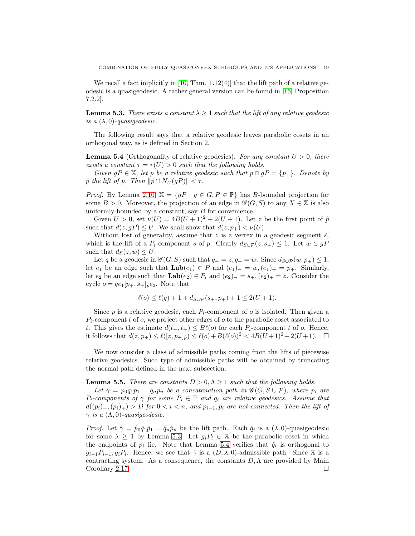We recall a fact implicitly in [\[10,](#page-23-22) Thm.  $1.12(4)$ ] that the lift path of a relative geodesic is a quasigeodesic. A rather general version can be found in [\[15,](#page-23-12) Proposition 7.2.2].

<span id="page-18-0"></span>**Lemma 5.3.** *There exists a constant*  $\lambda \geq 1$  *such that the lift of any relative geodesic is a*  $(\lambda, 0)$ *-quasigeodesic.* 

The following result says that a relative geodesic leaves parabolic cosets in an orthogonal way, as is defined in Section 2.

<span id="page-18-1"></span>Lemma 5.4 (Orthogonality of relative geodesics). *For any constant* U > 0*, there exists a constant*  $\tau = \tau(U) > 0$  *such that the following holds.* 

*Given*  $gP \in \mathbb{X}$ *, let* p *be a relative geodesic such that*  $p \cap gP = \{p_+\}$ *. Denote by*  $\hat{p}$  *the lift of*  $p$ *. Then*  $\|\hat{p} \cap N_U(qP)\| < \tau$ *.* 

*Proof.* By Lemma [2.10,](#page-5-0)  $\mathbb{X} = \{gP : g \in G, P \in \mathbb{P}\}\$  has B-bounded projection for some  $B > 0$ . Moreover, the projection of an edge in  $\mathscr{G}(G, S)$  to any  $X \in \mathbb{X}$  is also uniformly bounded by a constant, say B for convenience.

Given  $U > 0$ , set  $\nu(U) = 4B(U+1)^2 + 2(U+1)$ . Let z be the first point of  $\hat{p}$ such that  $d(z, gP) \leq U$ . We shall show that  $d(z, p<sub>+</sub>) < \nu(U)$ .

Without lost of generality, assume that z is a vertex in a geodesic segment  $\hat{s}$ , which is the lift of a P<sub>i</sub>-component s of p. Clearly  $d_{S\cup P}(z, s_+) \leq 1$ . Let  $w \in gP$ such that  $d_S(z, w) \leq U$ .

Let q be a geodesic in  $\mathscr{G}(G, S)$  such that  $q_{-} = z, q_{+} = w$ . Since  $d_{S \cup P}(w, p_{+}) \leq 1$ , let  $e_1$  be an edge such that  $\text{Lab}(e_1) \in P$  and  $(e_1)_{-} = w, (e_1)_{+} = p_{+}$ . Similarly, let  $e_2$  be an edge such that  $\text{Lab}(e_2) \in P_i$  and  $(e_2)_- = s_+, (e_2)_+ = z$ . Consider the cycle  $o = qe_1[p_+, s_+]_pe_2$ . Note that

$$
\ell(o) \le \ell(q) + 1 + d_{S \cup \mathcal{P}}(s_+, p_+) + 1 \le 2(U + 1).
$$

Since  $p$  is a relative geodesic, each  $P_i$ -component of  $o$  is isolated. Then given a  $P_i$ -component t of o, we project other edges of o to the parabolic coset associated to t. This gives the estimate  $d(t_-, t_+) \leq B\ell(o)$  for each  $P_i$ -component t of o. Hence, it follows that  $d(z, p_+) \leq \ell([z, p_+]_p) \leq \ell(o) + B(\ell(o))^2 < 4B(\bar{U}+1)^2 + 2(U+1)$ .

We now consider a class of admissible paths coming from the lifts of piecewise relative geodesics. Such type of admissible paths will be obtained by truncating the normal path defined in the next subsection.

**Lemma 5.5.** *There are constants*  $D > 0, \Lambda \geq 1$  *such that the following holds.* 

*Let*  $\gamma = p_0 q_1 p_1 \dots q_n p_n$  *be a concatenation path in*  $\mathscr{G}(G, S \cup P)$ *, where*  $p_i$  *are*  $P_i$ -components of  $\gamma$  for some  $P_i \in \mathbb{P}$  and  $q_i$  are relative geodesics. Assume that  $d((p_i)_-, (p_i)_+) > D$  *for*  $0 < i < n$ , and  $p_{i-1}, p_i$  are not connected. Then the lift of  $\gamma$  *is a*  $(\Lambda, 0)$ *-quasigeodesic.* 

*Proof.* Let  $\hat{\gamma} = \hat{p}_0 \hat{q}_1 \hat{p}_1 \dots \hat{q}_n \hat{p}_n$  be the lift path. Each  $\hat{q}_i$  is a  $(\lambda, 0)$ -quasigeodesic for some  $\lambda \geq 1$  by Lemma [5.3.](#page-18-0) Let  $g_i P_i \in \mathbb{X}$  be the parabolic coset in which the endpoints of  $p_i$  lie. Note that Lemma [5.4](#page-18-1) verifies that  $\hat{q}_i$  is orthogonal to  $g_{i-1}P_{i-1}, g_iP_i$ . Hence, we see that  $\hat{\gamma}$  is a  $(D, \lambda, 0)$ -admissible path. Since X is a contracting system. As a consequence, the constants  $D, \Lambda$  are provided by Main Corollary [2.17.](#page-7-1)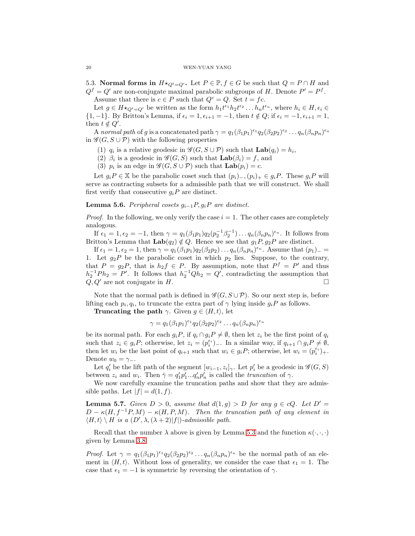5.3. Normal forms in  $H\star_{Q_t=Q'}$ . Let  $P\in\mathbb{P}, f\in G$  be such that  $Q=P\cap H$  and  $Q^f = Q'$  are non-conjugate maximal parabolic subgroups of H. Denote  $P' = P^f$ .

Assume that there is  $c \in P$  such that  $Q^c = Q$ . Set  $t = fc$ .

Let  $g \in H \star_{Q^t = Q'}$  be written as the form  $h_1 t^{\epsilon_1} h_2 t^{\epsilon_2} \dots h_n t^{\epsilon_n}$ , where  $h_i \in H, \epsilon_i \in$  ${1, -1}$ . By Britton's Lemma, if  $\epsilon_i = 1, \epsilon_{i+1} = -1$ , then  $t \notin Q$ ; if  $\epsilon_i = -1, \epsilon_{i+1} = 1$ , then  $t \notin Q'$ .

A *normal path* of g is a concatenated path  $\gamma = q_1(\beta_1 p_1)^{\epsilon_1} q_2(\beta_2 p_2)^{\epsilon_2} \dots q_n(\beta_n p_n)^{\epsilon_n}$ in  $\mathscr{G}(G, S \cup P)$  with the following properties

- (1)  $q_i$  is a relative geodesic in  $\mathscr{G}(G, S \cup P)$  such that  $\text{Lab}(q_i) = h_i$ ,
- (2)  $\beta_i$  is a geodesic in  $\mathscr{G}(G, S)$  such that  $\mathbf{Lab}(\beta_i) = f$ , and
- (3)  $p_i$  is an edge in  $\mathscr{G}(G, S \cup P)$  such that  $\text{Lab}(p_i) = c$ .

Let  $g_iP \in \mathbb{X}$  be the parabolic coset such that  $(p_i)$ ,  $(p_i)_+ \in g_iP$ . These  $g_iP$  will serve as contracting subsets for a admissible path that we will construct. We shall first verify that consecutive  $g_iP$  are distinct.

### <span id="page-19-0"></span>Lemma 5.6. *Peripheral cosets* gi−1P, giP *are distinct.*

*Proof.* In the following, we only verify the case  $i = 1$ . The other cases are completely analogous.

If  $\epsilon_1 = 1, \epsilon_2 = -1$ , then  $\gamma = q_1(\beta_1 p_1) q_2(p_2^{-1}\beta_2^{-1}) \dots q_n(\beta_n p_n)^{\epsilon_n}$ . It follows from Britton's Lemma that  $\text{Lab}(q_2) \notin Q$ . Hence we see that  $g_1P, g_2P$  are distinct.

If  $\epsilon_1 = 1, \epsilon_2 = 1$ , then  $\gamma = q_1(\beta_1 p_1) q_2(\beta_2 p_2) \dots q_n(\beta_n p_n)^{\epsilon_n}$ . Assume that  $(p_1)$  = 1. Let  $g_2P$  be the parabolic coset in which  $p_2$  lies. Suppose, to the contrary, that  $P = g_2 P$ , that is  $h_2 f \in P$ . By assumption, note that  $P^f = P'$  and thus  $h_2^{-1}Ph_2 = P'$ . It follows that  $h_2^{-1}Qh_2 = Q'$ , contradicting the assumption that  $Q, Q'$  are not conjugate in H.

Note that the normal path is defined in  $\mathscr{G}(G, S \cup \mathcal{P})$ . So our next step is, before lifting each  $p_i, q_i$ , to truncate the extra part of  $\gamma$  lying inside  $g_i P$  as follows.

**Truncating the path**  $\gamma$ . Given  $g \in \langle H, t \rangle$ , let

$$
\gamma = q_1(\beta_1 p_1)^{\epsilon_1} q_2(\beta_2 p_2)^{\epsilon_2} \dots q_n(\beta_n p_n)^{\epsilon_n}
$$

be its normal path. For each  $g_iP$ , if  $q_i \cap g_iP \neq \emptyset$ , then let  $z_i$  be the first point of  $q_i$ such that  $z_i \in g_i P$ ; otherwise, let  $z_i = (p_i^{\epsilon_i})_-.$  In a similar way, if  $q_{i+1} \cap g_i P \neq \emptyset$ , then let  $w_i$  be the last point of  $q_{i+1}$  such that  $w_i \in g_i P$ ; otherwise, let  $w_i = (p_i^{\epsilon_i})_+$ . Denote  $w_0 = \gamma_-.$ 

Let  $q'_i$  be the lift path of the segment  $[w_{i-1}, z_i]_{\gamma}$ . Let  $p'_i$  be a geodesic in  $\mathscr{G}(G, S)$ between  $z_i$  and  $w_i$ . Then  $\bar{\gamma} = q'_1 p'_1 ... q'_n p'_n$  is called the *truncation* of  $\gamma$ .

We now carefully examine the truncation paths and show that they are admissible paths. Let  $|f| = d(1, f)$ .

<span id="page-19-1"></span>**Lemma 5.7.** Given  $D > 0$ , assume that  $d(1, g) > D$  for any  $g \in cQ$ . Let  $D' =$  $D - \kappa (H, f^{-1}P, M) - \kappa (H, P, M)$ . Then the truncation path of any element in  $\langle H, t \rangle \setminus H$  *is a*  $(D', \lambda, (\lambda + 2)|f|)$ *-admissible path.* 

Recall that the number  $\lambda$  above is given by Lemma [5.3](#page-18-0) and the function  $\kappa(\cdot, \cdot, \cdot)$ given by Lemma [3.8.](#page-13-2)

*Proof.* Let  $\gamma = q_1(\beta_1 p_1)^{\epsilon_1} q_2(\beta_2 p_2)^{\epsilon_2} \dots q_n(\beta_n p_n)^{\epsilon_n}$  be the normal path of an element in  $\langle H, t \rangle$ . Without loss of generality, we consider the case that  $\epsilon_1 = 1$ . The case that  $\epsilon_1 = -1$  is symmetric by reversing the orientation of  $\gamma$ .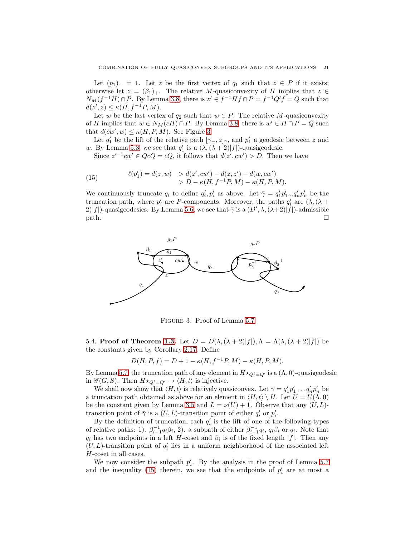Let  $(p_1)$ <sub>-</sub> = 1. Let z be the first vertex of  $q_1$  such that  $z \in P$  if it exists; otherwise let  $z = (\beta_1)_+$ . The relative M-quasiconvexity of H implies that  $z \in$  $N_M(f^{-1}H)\cap P$ . By Lemma [3.8,](#page-13-2) there is  $z'\in f^{-1}Hf\cap P=f^{-1}Q'f=Q$  such that  $d(z', z) \leq \kappa(H, f^{-1}P, M).$ 

Let w be the last vertex of  $q_2$  such that  $w \in P$ . The relative M-quasiconvexity of H implies that  $w \in N_M(cH) \cap P$ . By Lemma [3.8,](#page-13-2) there is  $w' \in H \cap P = Q$  such that  $d(cw', w) \leq \kappa(H, P, M)$ . See Figure [3.](#page-20-0)

Let  $q'_1$  be the lift of the relative path  $[\gamma_-, z]_{\gamma}$ , and  $p'_1$  a geodesic between z and w. By Lemma [5.3,](#page-18-0) we see that  $q'_1$  is a  $(\lambda, (\lambda + 2)|f|)$ -quasigeodesic.

<span id="page-20-1"></span>Since  $z'^{-1}cw' \in QcQ = cQ$ , it follows that  $d(z', cw') > D$ . Then we have

(15) 
$$
\ell(p'_1) = d(z, w) > d(z', cw') - d(z, z') - d(w, cw') > D - \kappa(H, f^{-1}P, M) - \kappa(H, P, M).
$$

We continuously truncate  $q_i$  to define  $q'_i, p'_i$  as above. Let  $\bar{\gamma} = q'_1 p'_1 ... q'_n p'_n$  be the truncation path, where  $p'_i$  are P-components. Moreover, the paths  $q'_i$  are  $(\lambda, (\lambda +$ 2)|f|)-quasigeodesics. By Lemma [5.6,](#page-19-0) we see that  $\bar{\gamma}$  is a  $(D', \lambda, (\lambda+2)|f|)$ -admissible  $path.$   $\Box$ 



<span id="page-20-0"></span>Figure 3. Proof of Lemma [5.7](#page-19-1)

5.4. Proof of Theorem [1.3.](#page-1-1) Let  $D = D(\lambda, (\lambda + 2)|f|), \Lambda = \Lambda(\lambda, (\lambda + 2)|f|)$  be the constants given by Corollary [2.17.](#page-7-1) Define

$$
D(H, P, f) = D + 1 - \kappa(H, f^{-1}P, M) - \kappa(H, P, M).
$$

By Lemma [5.7,](#page-19-1) the truncation path of any element in  $H\star_{Q^t=Q'}$  is a  $(\Lambda,0)$ -quasigeodesic in  $\mathscr{G}(G, S)$ . Then  $H \star_{Q^t = Q'} \to \langle H, t \rangle$  is injective.

We shall now show that  $\langle H, t \rangle$  is relatively quasiconvex. Let  $\bar{\gamma} = q'_1 p'_1 \dots q'_n p'_n$  be a truncation path obtained as above for an element in  $\langle H, t \rangle \setminus H$ . Let  $U = U(\Lambda, 0)$ be the constant given by Lemma [3.5](#page-13-1) and  $L = \nu(U) + 1$ . Observe that any  $(U, L)$ transition point of  $\bar{\gamma}$  is a  $(U, L)$ -transition point of either  $q'_i$  or  $p'_i$ .

By the definition of truncation, each  $q'_i$  is the lift of one of the following types of relative paths: 1).  $\beta_{i-1}^{-1} q_i \beta_i$ , 2). a subpath of either  $\beta_{i-1}^{-1} q_i$ ,  $q_i \beta_i$  or  $q_i$ . Note that  $q_i$  has two endpoints in a left H-coset and  $\beta_i$  is of the fixed length  $|f|$ . Then any  $(U, L)$ -transition point of  $q'_i$  lies in a uniform neighborhood of the associated left H-coset in all cases.

We now consider the subpath  $p'_i$ . By the analysis in the proof of Lemma [5.7](#page-19-1) and the inequality [\(15\)](#page-20-1) therein, we see that the endpoints of  $p'_i$  are at most a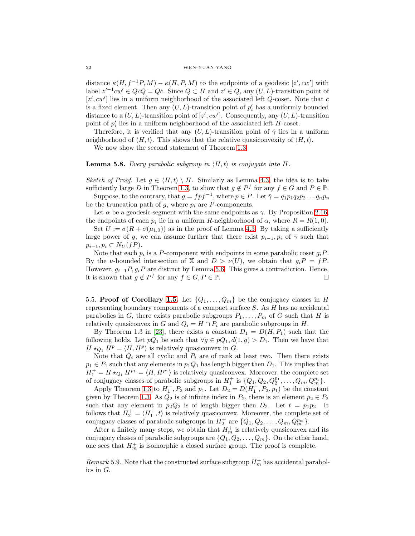#### 22 WEN-YUAN YANG

distance  $\kappa(H, f^{-1}P, M) - \kappa(H, P, M)$  to the endpoints of a geodesic  $[z', cw']$  with label  $z'^{-1}cw' \in QcQ = Qc$ . Since  $Q \subset H$  and  $z' \in Q$ , any  $(U, L)$ -transition point of  $[z', cw']$  lies in a uniform neighborhood of the associated left  $Q$ -coset. Note that  $c$ is a fixed element. Then any  $(U, L)$ -transition point of  $p'_i$  has a uniformly bounded distance to a  $(U, L)$ -transition point of  $[z', cw']$ . Consequently, any  $(U, L)$ -transition point of  $p'_i$  lies in a uniform neighborhood of the associated left  $H$ -coset.

Therefore, it is verified that any  $(U, L)$ -transition point of  $\bar{\gamma}$  lies in a uniform neighborhood of  $\langle H, t \rangle$ . This shows that the relative quasiconvexity of  $\langle H, t \rangle$ .

We now show the second statement of Theorem [1.3.](#page-1-1)

### **Lemma 5.8.** *Every parabolic subgroup in*  $\langle H, t \rangle$  *is conjugate into*  $H$ *.*

*Sketch of Proof.* Let  $q \in \langle H, t \rangle \setminus H$ . Similarly as Lemma [4.3,](#page-16-1) the idea is to take sufficiently large D in Theorem [1.3,](#page-1-1) to show that  $g \notin P^f$  for any  $f \in G$  and  $P \in \mathbb{P}$ .

Suppose, to the contrary, that  $g = f p f^{-1}$ , where  $p \in P$ . Let  $\bar{\gamma} = q_1 p_1 q_2 p_2 \dots q_n p_n$ be the truncation path of  $g$ , where  $p_i$  are P-components.

Let  $\alpha$  be a geodesic segment with the same endpoints as  $\gamma$ . By Proposition [2.16,](#page-7-0) the endpoints of each  $p_i$  lie in a uniform R-neighborhood of  $\alpha$ , where  $R = R(1,0)$ .

Set  $U := \sigma(R + \sigma(\mu_{1,0}))$  as in the proof of Lemma [4.3.](#page-16-1) By taking a sufficiently large power of g, we can assume further that there exist  $p_{i-1}, p_i$  of  $\bar{\gamma}$  such that  $p_{i-1}, p_i \subset N_U(fP).$ 

Note that each  $p_i$  is a P-component with endpoints in some parabolic coset  $g_i P$ . By the *ν*-bounded intersection of X and  $D > \nu(U)$ , we obtain that  $g_i P = f P$ . However,  $g_{i-1}P, g_iP$  are distinct by Lemma [5.6.](#page-19-0) This gives a contradiction. Hence, it is shown that  $g \notin P^f$  for any  $f \in G, P \in \mathbb{P}$ .

5.5. Proof of Corollary [1.5.](#page-2-2) Let  $\{Q_1, \ldots, Q_m\}$  be the conjugacy classes in H representing boundary components of a compact surface  $S$ . As  $H$  has no accidental parabolics in G, there exists parabolic subgroups  $P_1, \ldots, P_m$  of G such that H is relatively quasiconvex in G and  $Q_i = H \cap P_i$  are parabolic subgroups in H.

By Theorem 1.3 in [\[23\]](#page-23-8), there exists a constant  $D_1 = D(H, P_1)$  such that the following holds. Let  $pQ_1$  be such that  $\forall g \in pQ_1, d(1,g) > D_1$ . Then we have that  $H \star_{Q_1} H^p = \langle H, H^p \rangle$  is relatively quasiconvex in G.

Note that  $Q_i$  are all cyclic and  $P_i$  are of rank at least two. Then there exists  $p_1 \in P_1$  such that any elements in  $p_1 Q_1$  has length bigger then  $D_1$ . This implies that  $H_1^+ = H \star_{Q_1} H^{p_1} = \langle H, H^{p_1} \rangle$  is relatively quasiconvex. Moreover, the complete set of conjugacy classes of parabolic subgroups in  $H_1^+$  is  $\{Q_1, Q_2, Q_2^{p_1}, \ldots, Q_m, Q_m^{p_1}\}.$ 

Apply Theorem [1.3](#page-1-1) to  $H_1^+, P_2$  and  $p_1$ . Let  $D_2 = D(H_1^+, P_2, p_1)$  be the constant given by Theorem [1.3.](#page-1-1) As  $Q_2$  is of infinite index in  $P_2$ , there is an element  $p_2 \in P_2$ such that any element in  $p_2Q_2$  is of length bigger then  $D_2$ . Let  $t = p_1p_2$ . It follows that  $H_2^+ = \langle H_1^+, t \rangle$  is relatively quasiconvex. Moreover, the complete set of conjugacy classes of parabolic subgroups in  $H_2^+$  are  $\{Q_1, Q_2, \ldots, Q_m, Q_m^{p_m}\}.$ 

After a finitely many steps, we obtain that  $H_m^+$  is relatively quasiconvex and its conjugacy classes of parabolic subgroups are  $\{Q_1, Q_2, \ldots, Q_m\}$ . On the other hand, one sees that  $H_m^+$  is isomorphic a closed surface group. The proof is complete.

*Remark* 5.9. Note that the constructed surface subgroup  $H_m^+$  has accidental parabolics in G.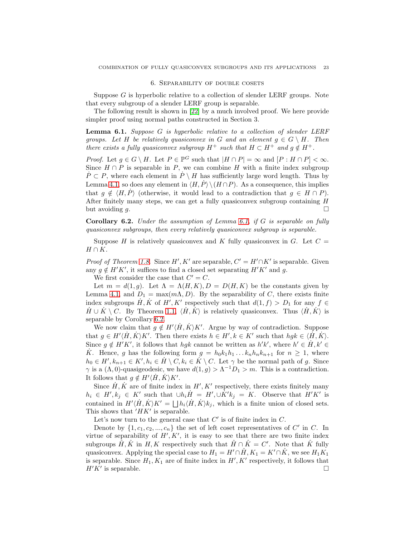#### 6. Separability of double cosets

Suppose  $G$  is hyperbolic relative to a collection of slender LERF groups. Note that every subgroup of a slender LERF group is separable.

The following result is shown in [\[22\]](#page-23-10) by a much involved proof. We here provide simpler proof using normal paths constructed in Section 3.

<span id="page-22-0"></span>Lemma 6.1. *Suppose* G *is hyperbolic relative to a collection of slender LERF groups. Let* H *be relatively quasiconvex in* G and an element  $q \in G \setminus H$ . Then *there exists a fully quasiconvex subgroup*  $H^+$  *such that*  $H \subset H^+$  *and*  $g \notin H^+$ *.* 

*Proof.* Let  $g \in G \setminus H$ . Let  $P \in \mathbb{P}^G$  such that  $|H \cap P| = \infty$  and  $[P : H \cap P] < \infty$ . Since  $H \cap P$  is separable in P, we can combine H with a finite index subgroup  $\dot{P} \subset P$ , where each element in  $\dot{P} \setminus H$  has sufficiently large word length. Thus by Lemma [4.1,](#page-16-0) so does any element in  $\langle H, P \rangle \setminus (H \cap P)$ . As a consequence, this implies that  $q \notin \langle H, P \rangle$  (otherwise, it would lead to a contradiction that  $q \in H \cap P$ ). After finitely many steps, we can get a fully quasiconvex subgroup containing H but avoiding g.  $\Box$ 

<span id="page-22-1"></span>Corollary 6.2. *Under the assumption of Lemma [6.1,](#page-22-0) if* G *is separable on fully quasiconvex subgroups, then every relatively quasiconvex subgroup is separable.*

Suppose H is relatively quasiconvex and K fully quasiconvex in G. Let  $C =$  $H \cap K$ .

*Proof of Theorem [1.8.](#page-2-1)* Since  $H'$ ,  $K'$  are separable,  $C' = H' \cap K'$  is separable. Given any  $g \notin H'K'$ , it suffices to find a closed set separating  $H'K'$  and g.

We first consider the case that  $C' = C$ .

Let  $m = d(1, g)$ . Let  $\Lambda = \Lambda(H, K), D = D(H, K)$  be the constants given by Lemma [4.1,](#page-16-0) and  $D_1 = \max(m\Lambda, D)$ . By the separability of C, there exists finite index subgroups  $\dot{H}, \dot{K}$  of  $H', K'$  respectively such that  $d(1, f) > D_1$  for any  $f \in$  $H \cup K \setminus C$ . By Theorem [1.1,](#page-1-0)  $\langle H, K \rangle$  is relatively quasiconvex. Thus  $\langle H, K \rangle$  is separable by Corollary [6.2.](#page-22-1)

We now claim that  $g \notin H'(\dot{H}, \dot{K})K'$ . Argue by way of contradiction. Suppose that  $g \in H'(\dot{H}, \dot{K})K'$ . Then there exists  $h \in H', k \in K'$  such that  $h g k \in \langle \dot{H}, \dot{K} \rangle$ . Since  $g \notin H'K'$ , it follows that  $h g k$  cannot be written as  $h' k'$ , where  $h' \in \dot{H}, k' \in$  $\dot{K}$ . Hence, g has the following form  $g = h_0 k_1 h_1 \dots k_n h_n k_{n+1}$  for  $n \geq 1$ , where  $h_0 \in H', k_{n+1} \in K', h_i \in \dot{H} \setminus C, k_i \in \dot{K} \setminus C$ . Let  $\gamma$  be the normal path of g. Since  $\gamma$  is a  $(\Lambda, 0)$ -quasigeodesic, we have  $d(1, g) > \Lambda^{-1}D_1 > m$ . This is a contradiction. It follows that  $g \notin H'\langle \dot{H}, \dot{K} \rangle K'.$ 

Since  $\dot{H}$ ,  $\dot{K}$  are of finite index in  $H'$ ,  $K'$  respectively, there exists finitely many  $h_i \in H', k_j \in K'$  such that  $\cup h_i \dot{H} = H', \cup \dot{K}' k_j = K$ . Observe that  $H'K'$  is contained in  $H'(\dot{H}, \dot{K})K' = \bigsqcup h_i \langle \dot{H}, \dot{K} \rangle k_j$ , which is a finite union of closed sets. This shows that  $'HK'$  is separable.

Let's now turn to the general case that  $C'$  is of finite index in  $C$ .

Denote by  $\{1, c_1, c_2, ..., c_n\}$  the set of left coset representatives of C' in C. In virtue of separability of  $H', K'$ , it is easy to see that there are two finite index subgroups  $\hat{H}, \hat{K}$  in  $H, K$  respectively such that  $\hat{H} \cap \hat{K} = C'$ . Note that  $\hat{K}$  fully quasiconvex. Applying the special case to  $H_1 = H' \cap \hat{H}$ ,  $K_1 = K' \cap \hat{K}$ , we see  $H_1 K_1$ is separable. Since  $H_1, K_1$  are of finite index in  $H', K'$  respectively, it follows that  $H'K'$  is separable.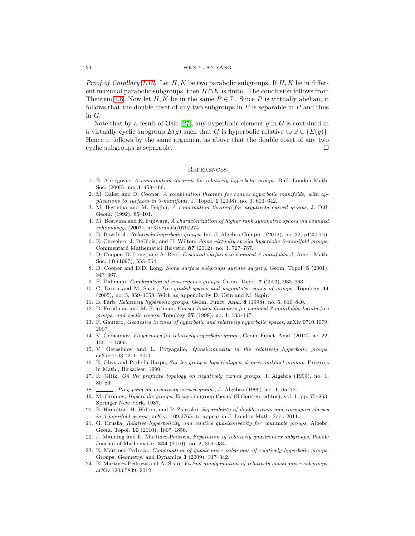#### 24 WEN-YUAN YANG

*Proof of Corollary [1.10.](#page-3-0)* Let H, K be two parabolic subgroups. If H, K lie in different maximal parabolic subgroups, then  $H \cap K$  is finite. The conclusion follows from Theorem [1.8.](#page-2-1) Now let  $H, K$  be in the same  $P \in \mathbb{P}$ . Since P is virtually abelian, it follows that the double coset of any two subgroups in  $P$  is separable in  $P$  and thus in G.

Note that by a result of Osin [\[27\]](#page-24-4), any hyperbolic element g in G is contained in a virtually cyclic subgroup  $E(g)$  such that G is hyperbolic relative to  $\mathbb{P} \cup \{E(g)\}\.$ Hence it follows by the same argument as above that the double coset of any two cyclic subgroups is separable.

#### **REFERENCES**

- <span id="page-23-2"></span>1. E. Alibegovic, A combination theorem for relatively hyperbolic groups, Bull. London Math. Soc. (2005), no. 3, 459–466.
- <span id="page-23-9"></span>2. M. Baker and D. Cooper, A combination theorem for convex hyperbolic manifolds, with applications to surfaces in 3-manifolds, J. Topol. 1 (2008), no. 3, 603–642.
- <span id="page-23-0"></span>3. M. Bestvina and M. Feighn, A combination theorem for negatively curved groups, J. Diff. Geom. (1992), 85–101.
- <span id="page-23-13"></span>4. M. Bestvina and K. Fujiwara, A characterization of higher rank symmetric spaces via bounded cohomology, (2007), arXiv:math/0702274.
- <span id="page-23-21"></span><span id="page-23-11"></span>5. B. Bowditch, Relatively hyperbolic groups, Int. J. Algebra Comput. (2012), no. 22, p1250016.
- 6. E. Chesebro, J. DeBlois, and H. Wilton, Some virtually special hyperbolic 3-manifold groups, Commentarii Mathematici Helvetici 87 (2012), no. 3, 727–787.
- <span id="page-23-5"></span>7. D. Cooper, D. Long, and A. Reid, Essential surfaces in bounded 3-manifolds, J. Amer. Math. Soc. 10 (1997), 553–564.
- <span id="page-23-6"></span><span id="page-23-1"></span>8. D. Cooper and D.D. Long, Some surface subgroups survive surgery, Geom. Topol. 5 (2001), 347–367.
- <span id="page-23-22"></span>9. F. Dahmani, Combination of convergence groups, Geom. Topol. 7 (2003), 933–963.
- 10. C. Drutu and M. Sapir, Tree-graded spaces and asymptotic cones of groups, Topology 44 (2005), no. 5, 959–1058, With an appendix by D. Osin and M. Sapir.
- <span id="page-23-20"></span><span id="page-23-4"></span>11. B. Farb, Relatively hyperbolic groups, Geom. Funct. Anal. 8 (1998), no. 5, 810–840.
- 12. B. Freedman and M. Freedman, Kneser-haken finiteness for bounded 3-manifolds, locally free groups, and cyclic covers, Topology  $37$  (1998), no. 1, 133-147.
- <span id="page-23-19"></span><span id="page-23-3"></span>13. F. Gautero, Geodesics in trees of hyperbolic and relatively hyperbolic spaces, arXiv:0710.4079, 2007.
- <span id="page-23-12"></span>14. V. Gerasimov, Floyd maps for relatively hyperbolic groups, Geom. Funct. Anal. (2012), no. 22, 1361 – 1399.
- 15. V. Gerasimov and L. Potyagailo, Quasiconvexity in the relatively hyperbolic groups, arXiv:1103.1211, 2011.
- <span id="page-23-14"></span>16. E. Ghys and P. de la Harpe, Sur les groupes hyperboliques d'après mikhael gromov, Progress in Math., Birkaüser, 1990.
- <span id="page-23-16"></span><span id="page-23-7"></span>17. R. Gitik, On the profinite topology on negatively curved groups, J. Algebra (1999), no. 1, 80–86.
- <span id="page-23-15"></span>18.  $\_\_\_\_\$ ng-pong on negatively curved groups, J. Algebra (1999), no. 1, 65–72.
- 19. M. Gromov, Hyperbolic groups, Essays in group theory (S Gersten, editor), vol. 1, pp. 75–263, Springer New York, 1987.
- <span id="page-23-17"></span>20. E. Hamilton, H. Wilton, and P. Zalesskii, Separability of double cosets and conjugacy classes in 3-manifold groups, arXiv:1109.2765, to appear in J. London Math. Soc., 2011.
- <span id="page-23-23"></span>21. G. Hruska, Relative hyperbolicity and relative quasiconvexity for countable groups, Algebr. Geom. Topol. 10 (2010), 1807–1856.
- <span id="page-23-10"></span>22. J. Manning and E. Martinez-Pedroza, Separation of relatively quasiconvex subgroups, Pacific Journal of Mathematics 244 (2010), no. 2, 309–334.
- <span id="page-23-8"></span>23. E. Martinez-Pedroza, Combination of quasiconvex subgroups of relatively hyperbolic groups, Groups, Geometry, and Dynamics 3 (2009), 317–342.
- <span id="page-23-18"></span>24. E. Martinez-Pedroza and A. Sisto, Virtual amalgamation of relatively quasiconvex subgroups, arXiv:1203.5839, 2012.